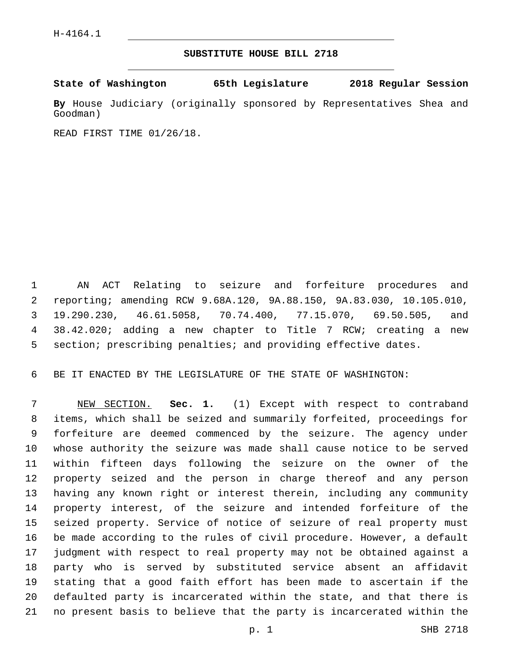## **SUBSTITUTE HOUSE BILL 2718**

**State of Washington 65th Legislature 2018 Regular Session**

**By** House Judiciary (originally sponsored by Representatives Shea and Goodman)

READ FIRST TIME 01/26/18.

 AN ACT Relating to seizure and forfeiture procedures and reporting; amending RCW 9.68A.120, 9A.88.150, 9A.83.030, 10.105.010, 19.290.230, 46.61.5058, 70.74.400, 77.15.070, 69.50.505, and 38.42.020; adding a new chapter to Title 7 RCW; creating a new section; prescribing penalties; and providing effective dates.

BE IT ENACTED BY THE LEGISLATURE OF THE STATE OF WASHINGTON:

 NEW SECTION. **Sec. 1.** (1) Except with respect to contraband items, which shall be seized and summarily forfeited, proceedings for forfeiture are deemed commenced by the seizure. The agency under whose authority the seizure was made shall cause notice to be served within fifteen days following the seizure on the owner of the property seized and the person in charge thereof and any person having any known right or interest therein, including any community property interest, of the seizure and intended forfeiture of the seized property. Service of notice of seizure of real property must be made according to the rules of civil procedure. However, a default judgment with respect to real property may not be obtained against a party who is served by substituted service absent an affidavit stating that a good faith effort has been made to ascertain if the defaulted party is incarcerated within the state, and that there is no present basis to believe that the party is incarcerated within the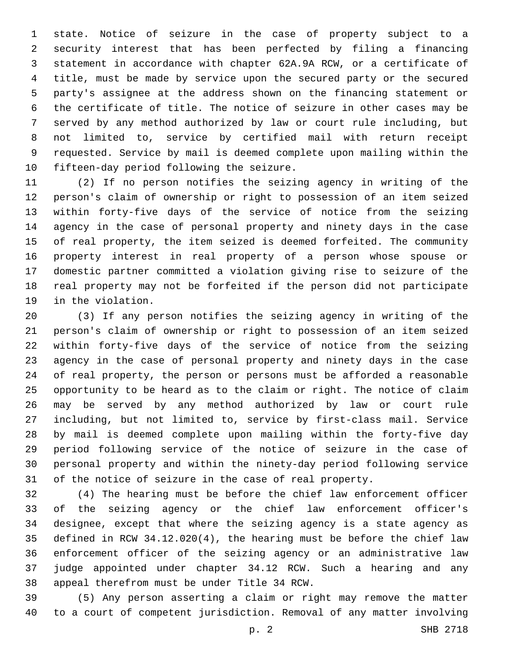state. Notice of seizure in the case of property subject to a security interest that has been perfected by filing a financing statement in accordance with chapter 62A.9A RCW, or a certificate of title, must be made by service upon the secured party or the secured party's assignee at the address shown on the financing statement or the certificate of title. The notice of seizure in other cases may be served by any method authorized by law or court rule including, but not limited to, service by certified mail with return receipt requested. Service by mail is deemed complete upon mailing within the 10 fifteen-day period following the seizure.

 (2) If no person notifies the seizing agency in writing of the person's claim of ownership or right to possession of an item seized within forty-five days of the service of notice from the seizing agency in the case of personal property and ninety days in the case of real property, the item seized is deemed forfeited. The community property interest in real property of a person whose spouse or domestic partner committed a violation giving rise to seizure of the real property may not be forfeited if the person did not participate 19 in the violation.

 (3) If any person notifies the seizing agency in writing of the person's claim of ownership or right to possession of an item seized within forty-five days of the service of notice from the seizing agency in the case of personal property and ninety days in the case of real property, the person or persons must be afforded a reasonable opportunity to be heard as to the claim or right. The notice of claim may be served by any method authorized by law or court rule including, but not limited to, service by first-class mail. Service by mail is deemed complete upon mailing within the forty-five day period following service of the notice of seizure in the case of personal property and within the ninety-day period following service of the notice of seizure in the case of real property.

 (4) The hearing must be before the chief law enforcement officer of the seizing agency or the chief law enforcement officer's designee, except that where the seizing agency is a state agency as defined in RCW 34.12.020(4), the hearing must be before the chief law enforcement officer of the seizing agency or an administrative law judge appointed under chapter 34.12 RCW. Such a hearing and any 38 appeal therefrom must be under Title 34 RCW.

 (5) Any person asserting a claim or right may remove the matter to a court of competent jurisdiction. Removal of any matter involving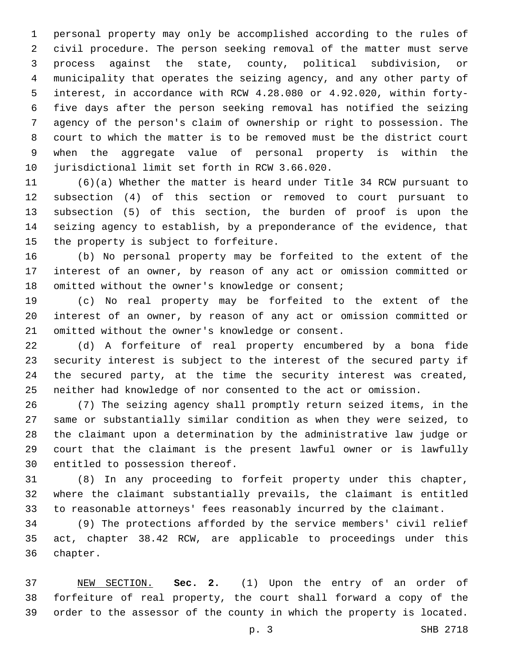personal property may only be accomplished according to the rules of civil procedure. The person seeking removal of the matter must serve process against the state, county, political subdivision, or municipality that operates the seizing agency, and any other party of interest, in accordance with RCW 4.28.080 or 4.92.020, within forty- five days after the person seeking removal has notified the seizing agency of the person's claim of ownership or right to possession. The court to which the matter is to be removed must be the district court when the aggregate value of personal property is within the 10 jurisdictional limit set forth in RCW 3.66.020.

 (6)(a) Whether the matter is heard under Title 34 RCW pursuant to subsection (4) of this section or removed to court pursuant to subsection (5) of this section, the burden of proof is upon the seizing agency to establish, by a preponderance of the evidence, that 15 the property is subject to forfeiture.

 (b) No personal property may be forfeited to the extent of the interest of an owner, by reason of any act or omission committed or 18 omitted without the owner's knowledge or consent;

 (c) No real property may be forfeited to the extent of the interest of an owner, by reason of any act or omission committed or 21 omitted without the owner's knowledge or consent.

 (d) A forfeiture of real property encumbered by a bona fide security interest is subject to the interest of the secured party if the secured party, at the time the security interest was created, neither had knowledge of nor consented to the act or omission.

 (7) The seizing agency shall promptly return seized items, in the same or substantially similar condition as when they were seized, to the claimant upon a determination by the administrative law judge or court that the claimant is the present lawful owner or is lawfully 30 entitled to possession thereof.

 (8) In any proceeding to forfeit property under this chapter, where the claimant substantially prevails, the claimant is entitled to reasonable attorneys' fees reasonably incurred by the claimant.

 (9) The protections afforded by the service members' civil relief act, chapter 38.42 RCW, are applicable to proceedings under this 36 chapter.

 NEW SECTION. **Sec. 2.** (1) Upon the entry of an order of forfeiture of real property, the court shall forward a copy of the order to the assessor of the county in which the property is located.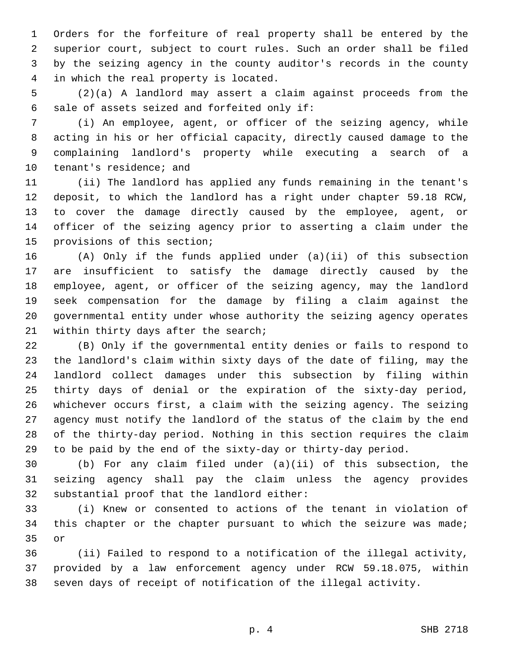Orders for the forfeiture of real property shall be entered by the superior court, subject to court rules. Such an order shall be filed by the seizing agency in the county auditor's records in the county 4 in which the real property is located.

 (2)(a) A landlord may assert a claim against proceeds from the 6 sale of assets seized and forfeited only if:

 (i) An employee, agent, or officer of the seizing agency, while acting in his or her official capacity, directly caused damage to the complaining landlord's property while executing a search of a 10 tenant's residence; and

 (ii) The landlord has applied any funds remaining in the tenant's deposit, to which the landlord has a right under chapter 59.18 RCW, to cover the damage directly caused by the employee, agent, or officer of the seizing agency prior to asserting a claim under the 15 provisions of this section;

 (A) Only if the funds applied under (a)(ii) of this subsection are insufficient to satisfy the damage directly caused by the employee, agent, or officer of the seizing agency, may the landlord seek compensation for the damage by filing a claim against the governmental entity under whose authority the seizing agency operates 21 within thirty days after the search;

 (B) Only if the governmental entity denies or fails to respond to the landlord's claim within sixty days of the date of filing, may the landlord collect damages under this subsection by filing within thirty days of denial or the expiration of the sixty-day period, whichever occurs first, a claim with the seizing agency. The seizing agency must notify the landlord of the status of the claim by the end of the thirty-day period. Nothing in this section requires the claim to be paid by the end of the sixty-day or thirty-day period.

 (b) For any claim filed under (a)(ii) of this subsection, the seizing agency shall pay the claim unless the agency provides 32 substantial proof that the landlord either:

 (i) Knew or consented to actions of the tenant in violation of this chapter or the chapter pursuant to which the seizure was made; 35 or

 (ii) Failed to respond to a notification of the illegal activity, provided by a law enforcement agency under RCW 59.18.075, within seven days of receipt of notification of the illegal activity.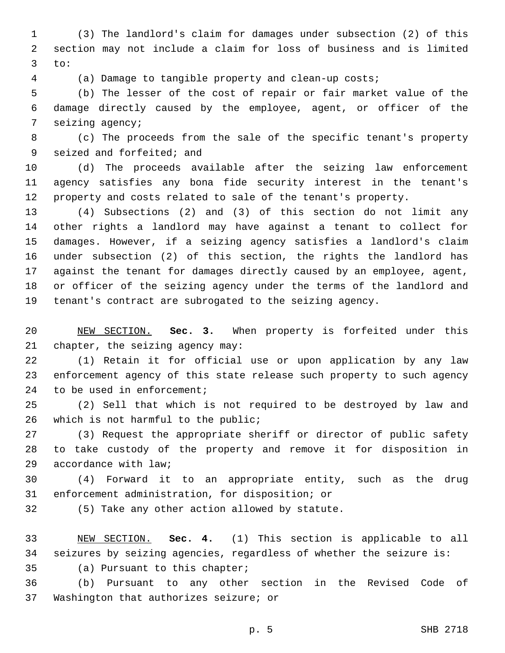(3) The landlord's claim for damages under subsection (2) of this section may not include a claim for loss of business and is limited to:

(a) Damage to tangible property and clean-up costs;

 (b) The lesser of the cost of repair or fair market value of the damage directly caused by the employee, agent, or officer of the 7 seizing agency;

 (c) The proceeds from the sale of the specific tenant's property 9 seized and forfeited; and

 (d) The proceeds available after the seizing law enforcement agency satisfies any bona fide security interest in the tenant's property and costs related to sale of the tenant's property.

 (4) Subsections (2) and (3) of this section do not limit any other rights a landlord may have against a tenant to collect for damages. However, if a seizing agency satisfies a landlord's claim under subsection (2) of this section, the rights the landlord has against the tenant for damages directly caused by an employee, agent, or officer of the seizing agency under the terms of the landlord and tenant's contract are subrogated to the seizing agency.

 NEW SECTION. **Sec. 3.** When property is forfeited under this chapter, the seizing agency may:

 (1) Retain it for official use or upon application by any law enforcement agency of this state release such property to such agency 24 to be used in enforcement;

 (2) Sell that which is not required to be destroyed by law and 26 which is not harmful to the public;

 (3) Request the appropriate sheriff or director of public safety to take custody of the property and remove it for disposition in 29 accordance with law;

 (4) Forward it to an appropriate entity, such as the drug 31 enforcement administration, for disposition; or

32 (5) Take any other action allowed by statute.

 NEW SECTION. **Sec. 4.** (1) This section is applicable to all seizures by seizing agencies, regardless of whether the seizure is:

35 (a) Pursuant to this chapter;

 (b) Pursuant to any other section in the Revised Code of 37 Washington that authorizes seizure; or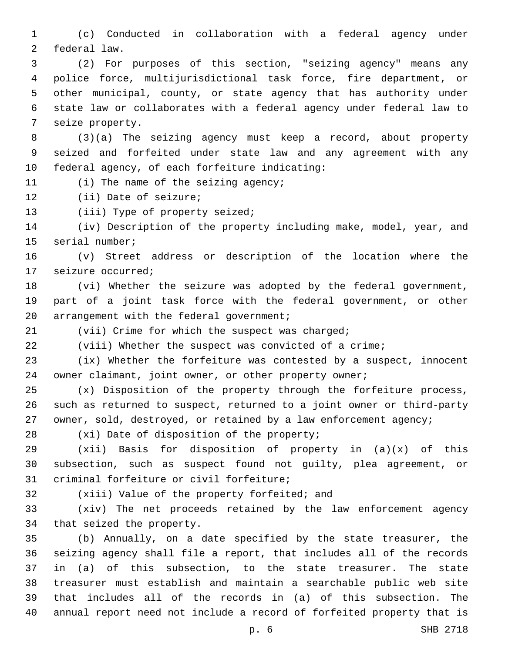(c) Conducted in collaboration with a federal agency under 2 federal law.

 (2) For purposes of this section, "seizing agency" means any police force, multijurisdictional task force, fire department, or other municipal, county, or state agency that has authority under state law or collaborates with a federal agency under federal law to 7 seize property.

 (3)(a) The seizing agency must keep a record, about property seized and forfeited under state law and any agreement with any 10 federal agency, of each forfeiture indicating:

11 (i) The name of the seizing agency;

12 (ii) Date of seizure;

13 (iii) Type of property seized;

 (iv) Description of the property including make, model, year, and 15 serial number;

 (v) Street address or description of the location where the 17 seizure occurred;

 (vi) Whether the seizure was adopted by the federal government, part of a joint task force with the federal government, or other 20 arrangement with the federal government;

(vii) Crime for which the suspect was charged;

(viii) Whether the suspect was convicted of a crime;

 (ix) Whether the forfeiture was contested by a suspect, innocent 24 owner claimant, joint owner, or other property owner;

 (x) Disposition of the property through the forfeiture process, such as returned to suspect, returned to a joint owner or third-party 27 owner, sold, destroyed, or retained by a law enforcement agency;

28 (xi) Date of disposition of the property;

 (xii) Basis for disposition of property in (a)(x) of this subsection, such as suspect found not guilty, plea agreement, or 31 criminal forfeiture or civil forfeiture;

32 (xiii) Value of the property forfeited; and

 (xiv) The net proceeds retained by the law enforcement agency 34 that seized the property.

 (b) Annually, on a date specified by the state treasurer, the seizing agency shall file a report, that includes all of the records in (a) of this subsection, to the state treasurer. The state treasurer must establish and maintain a searchable public web site that includes all of the records in (a) of this subsection. The annual report need not include a record of forfeited property that is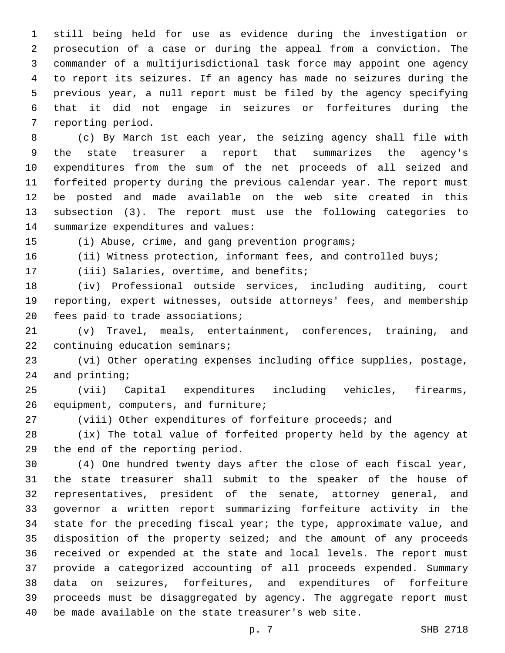still being held for use as evidence during the investigation or prosecution of a case or during the appeal from a conviction. The commander of a multijurisdictional task force may appoint one agency to report its seizures. If an agency has made no seizures during the previous year, a null report must be filed by the agency specifying that it did not engage in seizures or forfeitures during the 7 reporting period.

 (c) By March 1st each year, the seizing agency shall file with the state treasurer a report that summarizes the agency's expenditures from the sum of the net proceeds of all seized and forfeited property during the previous calendar year. The report must be posted and made available on the web site created in this subsection (3). The report must use the following categories to 14 summarize expenditures and values:

(i) Abuse, crime, and gang prevention programs;

16 (ii) Witness protection, informant fees, and controlled buys;

17 (iii) Salaries, overtime, and benefits;

 (iv) Professional outside services, including auditing, court reporting, expert witnesses, outside attorneys' fees, and membership 20 fees paid to trade associations;

 (v) Travel, meals, entertainment, conferences, training, and 22 continuing education seminars;

 (vi) Other operating expenses including office supplies, postage, 24 and printing;

 (vii) Capital expenditures including vehicles, firearms, 26 equipment, computers, and furniture;

(viii) Other expenditures of forfeiture proceeds; and

 (ix) The total value of forfeited property held by the agency at 29 the end of the reporting period.

 (4) One hundred twenty days after the close of each fiscal year, the state treasurer shall submit to the speaker of the house of representatives, president of the senate, attorney general, and governor a written report summarizing forfeiture activity in the state for the preceding fiscal year; the type, approximate value, and disposition of the property seized; and the amount of any proceeds received or expended at the state and local levels. The report must provide a categorized accounting of all proceeds expended. Summary data on seizures, forfeitures, and expenditures of forfeiture proceeds must be disaggregated by agency. The aggregate report must be made available on the state treasurer's web site.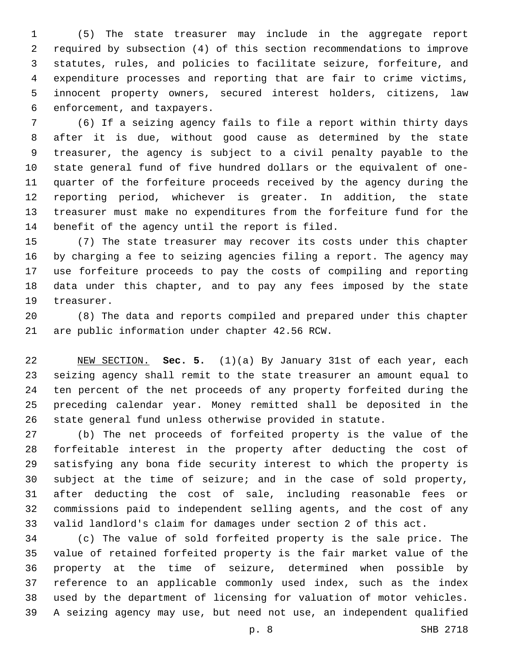(5) The state treasurer may include in the aggregate report required by subsection (4) of this section recommendations to improve statutes, rules, and policies to facilitate seizure, forfeiture, and expenditure processes and reporting that are fair to crime victims, innocent property owners, secured interest holders, citizens, law 6 enforcement, and taxpayers.

 (6) If a seizing agency fails to file a report within thirty days after it is due, without good cause as determined by the state treasurer, the agency is subject to a civil penalty payable to the state general fund of five hundred dollars or the equivalent of one- quarter of the forfeiture proceeds received by the agency during the reporting period, whichever is greater. In addition, the state treasurer must make no expenditures from the forfeiture fund for the 14 benefit of the agency until the report is filed.

 (7) The state treasurer may recover its costs under this chapter by charging a fee to seizing agencies filing a report. The agency may use forfeiture proceeds to pay the costs of compiling and reporting data under this chapter, and to pay any fees imposed by the state 19 treasurer.

 (8) The data and reports compiled and prepared under this chapter 21 are public information under chapter 42.56 RCW.

 NEW SECTION. **Sec. 5.** (1)(a) By January 31st of each year, each seizing agency shall remit to the state treasurer an amount equal to ten percent of the net proceeds of any property forfeited during the preceding calendar year. Money remitted shall be deposited in the state general fund unless otherwise provided in statute.

 (b) The net proceeds of forfeited property is the value of the forfeitable interest in the property after deducting the cost of satisfying any bona fide security interest to which the property is subject at the time of seizure; and in the case of sold property, after deducting the cost of sale, including reasonable fees or commissions paid to independent selling agents, and the cost of any valid landlord's claim for damages under section 2 of this act.

 (c) The value of sold forfeited property is the sale price. The value of retained forfeited property is the fair market value of the property at the time of seizure, determined when possible by reference to an applicable commonly used index, such as the index used by the department of licensing for valuation of motor vehicles. A seizing agency may use, but need not use, an independent qualified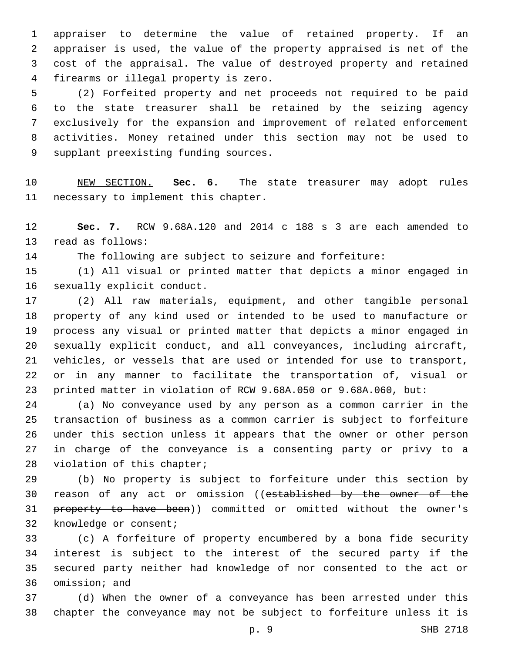appraiser to determine the value of retained property. If an appraiser is used, the value of the property appraised is net of the cost of the appraisal. The value of destroyed property and retained 4 firearms or illegal property is zero.

 (2) Forfeited property and net proceeds not required to be paid to the state treasurer shall be retained by the seizing agency exclusively for the expansion and improvement of related enforcement activities. Money retained under this section may not be used to 9 supplant preexisting funding sources.

 NEW SECTION. **Sec. 6.** The state treasurer may adopt rules necessary to implement this chapter.

 **Sec. 7.** RCW 9.68A.120 and 2014 c 188 s 3 are each amended to 13 read as follows:

The following are subject to seizure and forfeiture:

 (1) All visual or printed matter that depicts a minor engaged in 16 sexually explicit conduct.

 (2) All raw materials, equipment, and other tangible personal property of any kind used or intended to be used to manufacture or process any visual or printed matter that depicts a minor engaged in sexually explicit conduct, and all conveyances, including aircraft, vehicles, or vessels that are used or intended for use to transport, or in any manner to facilitate the transportation of, visual or printed matter in violation of RCW 9.68A.050 or 9.68A.060, but:

 (a) No conveyance used by any person as a common carrier in the transaction of business as a common carrier is subject to forfeiture under this section unless it appears that the owner or other person in charge of the conveyance is a consenting party or privy to a 28 violation of this chapter;

 (b) No property is subject to forfeiture under this section by 30 reason of any act or omission ((established by the owner of the 31 property to have been)) committed or omitted without the owner's 32 knowledge or consent;

 (c) A forfeiture of property encumbered by a bona fide security interest is subject to the interest of the secured party if the secured party neither had knowledge of nor consented to the act or 36 omission; and

 (d) When the owner of a conveyance has been arrested under this chapter the conveyance may not be subject to forfeiture unless it is

p. 9 SHB 2718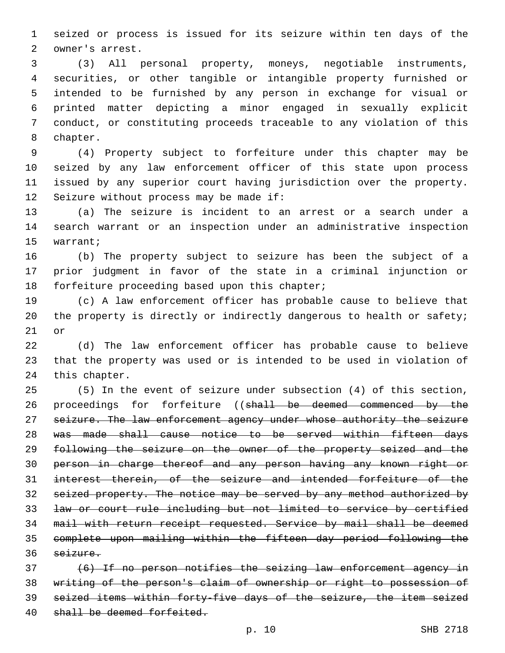seized or process is issued for its seizure within ten days of the 2 owner's arrest.

 (3) All personal property, moneys, negotiable instruments, securities, or other tangible or intangible property furnished or intended to be furnished by any person in exchange for visual or printed matter depicting a minor engaged in sexually explicit conduct, or constituting proceeds traceable to any violation of this 8 chapter.

 (4) Property subject to forfeiture under this chapter may be seized by any law enforcement officer of this state upon process issued by any superior court having jurisdiction over the property. 12 Seizure without process may be made if:

 (a) The seizure is incident to an arrest or a search under a search warrant or an inspection under an administrative inspection 15 warrant;

 (b) The property subject to seizure has been the subject of a prior judgment in favor of the state in a criminal injunction or 18 forfeiture proceeding based upon this chapter;

 (c) A law enforcement officer has probable cause to believe that 20 the property is directly or indirectly dangerous to health or safety; or

 (d) The law enforcement officer has probable cause to believe that the property was used or is intended to be used in violation of 24 this chapter.

 (5) In the event of seizure under subsection (4) of this section, 26 proceedings for forfeiture ((shall be deemed commenced by the 27 seizure. The law enforcement agency under whose authority the seizure was made shall cause notice to be served within fifteen days following the seizure on the owner of the property seized and the person in charge thereof and any person having any known right or interest therein, of the seizure and intended forfeiture of the seized property. The notice may be served by any method authorized by law or court rule including but not limited to service by certified mail with return receipt requested. Service by mail shall be deemed complete upon mailing within the fifteen day period following the seizure.

 (6) If no person notifies the seizing law enforcement agency in writing of the person's claim of ownership or right to possession of seized items within forty-five days of the seizure, the item seized 40 shall be deemed forfeited.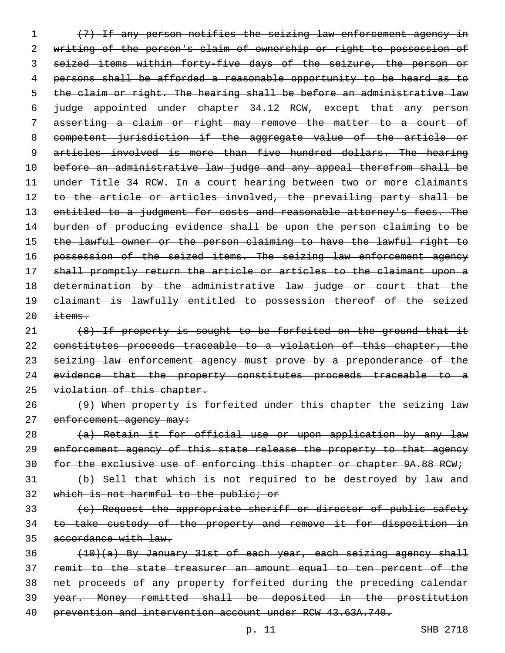(7) If any person notifies the seizing law enforcement agency in writing of the person's claim of ownership or right to possession of seized items within forty-five days of the seizure, the person or persons shall be afforded a reasonable opportunity to be heard as to 5 the claim or right. The hearing shall be before an administrative law judge appointed under chapter 34.12 RCW, except that any person asserting a claim or right may remove the matter to a court of competent jurisdiction if the aggregate value of the article or 9 articles involved is more than five hundred dollars. The hearing before an administrative law judge and any appeal therefrom shall be under Title 34 RCW. In a court hearing between two or more claimants 12 to the article or articles involved, the prevailing party shall be 13 entitled to a judgment for costs and reasonable attorney's fees. The burden of producing evidence shall be upon the person claiming to be 15 the lawful owner or the person claiming to have the lawful right to 16 possession of the seized items. The seizing law enforcement agency shall promptly return the article or articles to the claimant upon a determination by the administrative law judge or court that the claimant is lawfully entitled to possession thereof of the seized  $\pm$  tems.

21 (8) If property is sought to be forfeited on the ground that it 22 constitutes proceeds traceable to a violation of this chapter, the 23 seizing law enforcement agency must prove by a preponderance of the 24 evidence that the property constitutes proceeds traceable to a 25 violation of this chapter.

26 (9) When property is forfeited under this chapter the seizing law 27 enforcement agency may:

28 (a) Retain it for official use or upon application by any law 29 enforcement agency of this state release the property to that agency 30 for the exclusive use of enforcing this chapter or chapter 9A.88 RCW;

31 (b) Sell that which is not required to be destroyed by law and 32 which is not harmful to the public; or

33 (c) Request the appropriate sheriff or director of public safety 34 to take custody of the property and remove it for disposition in 35 accordance with law.

 (10)(a) By January 31st of each year, each seizing agency shall remit to the state treasurer an amount equal to ten percent of the net proceeds of any property forfeited during the preceding calendar year. Money remitted shall be deposited in the prostitution prevention and intervention account under RCW 43.63A.740.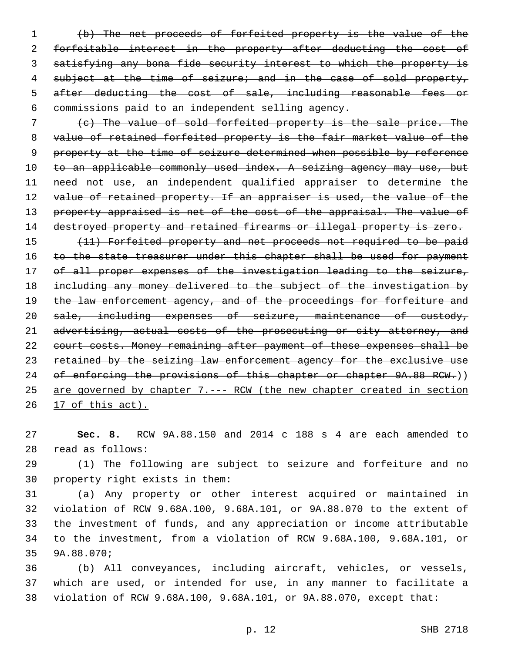(b) The net proceeds of forfeited property is the value of the forfeitable interest in the property after deducting the cost of satisfying any bona fide security interest to which the property is 4 subject at the time of seizure; and in the case of sold property, 5 after deducting the cost of sale, including reasonable fees or commissions paid to an independent selling agency.

7 (c) The value of sold forfeited property is the sale price. The 8 value of retained forfeited property is the fair market value of the 9 property at the time of seizure determined when possible by reference 10 to an applicable commonly used index. A seizing agency may use, but 11 need not use, an independent qualified appraiser to determine the 12 value of retained property. If an appraiser is used, the value of the 13 property appraised is net of the cost of the appraisal. The value of 14 destroyed property and retained firearms or illegal property is zero.

15 (11) Forfeited property and net proceeds not required to be paid 16 to the state treasurer under this chapter shall be used for payment 17 of all proper expenses of the investigation leading to the seizure, 18 including any money delivered to the subject of the investigation by 19 the law enforcement agency, and of the proceedings for forfeiture and 20 sale, including expenses of seizure, maintenance of custody, 21 advertising, actual costs of the prosecuting or city attorney, and 22 court costs. Money remaining after payment of these expenses shall be 23 retained by the seizing law enforcement agency for the exclusive use 24 of enforcing the provisions of this chapter or chapter 9A.88 RCW.)) 25 are governed by chapter 7.--- RCW (the new chapter created in section 26 17 of this act).

27 **Sec. 8.** RCW 9A.88.150 and 2014 c 188 s 4 are each amended to read as follows:28

29 (1) The following are subject to seizure and forfeiture and no 30 property right exists in them:

 (a) Any property or other interest acquired or maintained in violation of RCW 9.68A.100, 9.68A.101, or 9A.88.070 to the extent of the investment of funds, and any appreciation or income attributable to the investment, from a violation of RCW 9.68A.100, 9.68A.101, or 35 9A.88.070;

36 (b) All conveyances, including aircraft, vehicles, or vessels, 37 which are used, or intended for use, in any manner to facilitate a 38 violation of RCW 9.68A.100, 9.68A.101, or 9A.88.070, except that: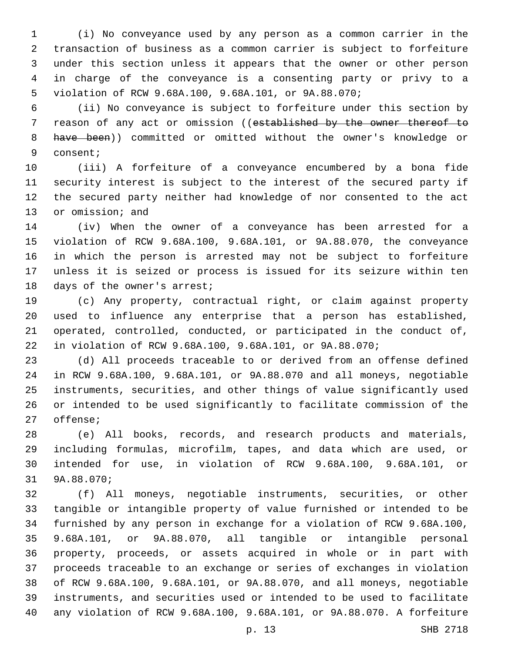(i) No conveyance used by any person as a common carrier in the transaction of business as a common carrier is subject to forfeiture under this section unless it appears that the owner or other person in charge of the conveyance is a consenting party or privy to a violation of RCW 9.68A.100, 9.68A.101, or 9A.88.070;

 (ii) No conveyance is subject to forfeiture under this section by 7 reason of any act or omission ((established by the owner thereof to have been)) committed or omitted without the owner's knowledge or 9 consent;

 (iii) A forfeiture of a conveyance encumbered by a bona fide security interest is subject to the interest of the secured party if the secured party neither had knowledge of nor consented to the act 13 or omission; and

 (iv) When the owner of a conveyance has been arrested for a violation of RCW 9.68A.100, 9.68A.101, or 9A.88.070, the conveyance in which the person is arrested may not be subject to forfeiture unless it is seized or process is issued for its seizure within ten 18 days of the owner's arrest;

 (c) Any property, contractual right, or claim against property used to influence any enterprise that a person has established, operated, controlled, conducted, or participated in the conduct of, in violation of RCW 9.68A.100, 9.68A.101, or 9A.88.070;

 (d) All proceeds traceable to or derived from an offense defined in RCW 9.68A.100, 9.68A.101, or 9A.88.070 and all moneys, negotiable instruments, securities, and other things of value significantly used or intended to be used significantly to facilitate commission of the 27 offense;

 (e) All books, records, and research products and materials, including formulas, microfilm, tapes, and data which are used, or intended for use, in violation of RCW 9.68A.100, 9.68A.101, or 31 9A.88.070;

 (f) All moneys, negotiable instruments, securities, or other tangible or intangible property of value furnished or intended to be furnished by any person in exchange for a violation of RCW 9.68A.100, 9.68A.101, or 9A.88.070, all tangible or intangible personal property, proceeds, or assets acquired in whole or in part with proceeds traceable to an exchange or series of exchanges in violation of RCW 9.68A.100, 9.68A.101, or 9A.88.070, and all moneys, negotiable instruments, and securities used or intended to be used to facilitate any violation of RCW 9.68A.100, 9.68A.101, or 9A.88.070. A forfeiture

p. 13 SHB 2718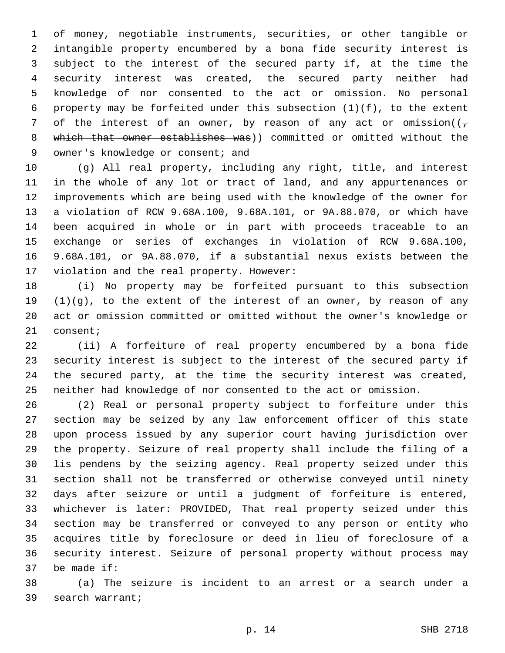of money, negotiable instruments, securities, or other tangible or intangible property encumbered by a bona fide security interest is subject to the interest of the secured party if, at the time the security interest was created, the secured party neither had knowledge of nor consented to the act or omission. No personal property may be forfeited under this subsection (1)(f), to the extent 7 of the interest of an owner, by reason of any act or omission( $(\tau$ 8 which that owner establishes was)) committed or omitted without the 9 owner's knowledge or consent; and

 (g) All real property, including any right, title, and interest in the whole of any lot or tract of land, and any appurtenances or improvements which are being used with the knowledge of the owner for a violation of RCW 9.68A.100, 9.68A.101, or 9A.88.070, or which have been acquired in whole or in part with proceeds traceable to an exchange or series of exchanges in violation of RCW 9.68A.100, 9.68A.101, or 9A.88.070, if a substantial nexus exists between the 17 violation and the real property. However:

 (i) No property may be forfeited pursuant to this subsection  $(1)(g)$ , to the extent of the interest of an owner, by reason of any act or omission committed or omitted without the owner's knowledge or 21 consent;

 (ii) A forfeiture of real property encumbered by a bona fide security interest is subject to the interest of the secured party if the secured party, at the time the security interest was created, neither had knowledge of nor consented to the act or omission.

 (2) Real or personal property subject to forfeiture under this section may be seized by any law enforcement officer of this state upon process issued by any superior court having jurisdiction over the property. Seizure of real property shall include the filing of a lis pendens by the seizing agency. Real property seized under this section shall not be transferred or otherwise conveyed until ninety days after seizure or until a judgment of forfeiture is entered, whichever is later: PROVIDED, That real property seized under this section may be transferred or conveyed to any person or entity who acquires title by foreclosure or deed in lieu of foreclosure of a security interest. Seizure of personal property without process may 37 be made if:

 (a) The seizure is incident to an arrest or a search under a 39 search warrant;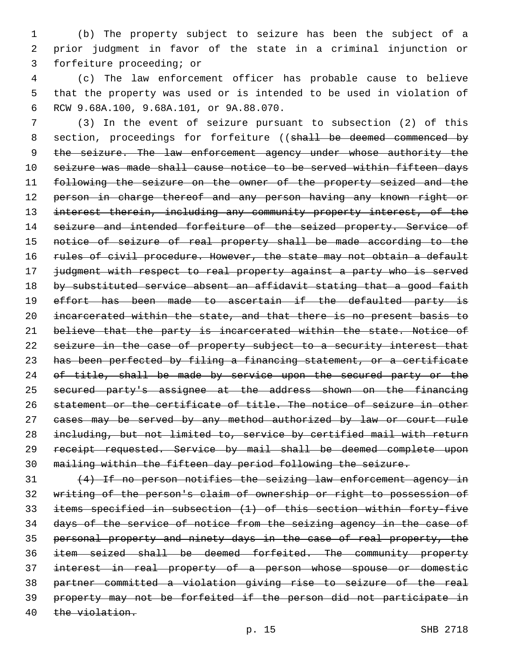(b) The property subject to seizure has been the subject of a prior judgment in favor of the state in a criminal injunction or 3 forfeiture proceeding; or

 (c) The law enforcement officer has probable cause to believe that the property was used or is intended to be used in violation of RCW 9.68A.100, 9.68A.101, or 9A.88.070.6

 (3) In the event of seizure pursuant to subsection (2) of this 8 section, proceedings for forfeiture ((shall be deemed commenced by 9 the seizure. The law enforcement agency under whose authority the seizure was made shall cause notice to be served within fifteen days 11 following the seizure on the owner of the property seized and the 12 person in charge thereof and any person having any known right or interest therein, including any community property interest, of the 14 seizure and intended forfeiture of the seized property. Service of 15 notice of seizure of real property shall be made according to the 16 rules of civil procedure. However, the state may not obtain a default judgment with respect to real property against a party who is served 18 by substituted service absent an affidavit stating that a good faith 19 effort has been made to ascertain if the defaulted party is incarcerated within the state, and that there is no present basis to 21 believe that the party is incarcerated within the state. Notice of 22 seizure in the case of property subject to a security interest that has been perfected by filing a financing statement, or a certificate 24 of title, shall be made by service upon the secured party or the secured party's assignee at the address shown on the financing statement or the certificate of title. The notice of seizure in other 27 cases may be served by any method authorized by law or court rule including, but not limited to, service by certified mail with return receipt requested. Service by mail shall be deemed complete upon mailing within the fifteen day period following the seizure.

 (4) If no person notifies the seizing law enforcement agency in writing of the person's claim of ownership or right to possession of items specified in subsection (1) of this section within forty-five days of the service of notice from the seizing agency in the case of personal property and ninety days in the case of real property, the item seized shall be deemed forfeited. The community property interest in real property of a person whose spouse or domestic partner committed a violation giving rise to seizure of the real property may not be forfeited if the person did not participate in the violation.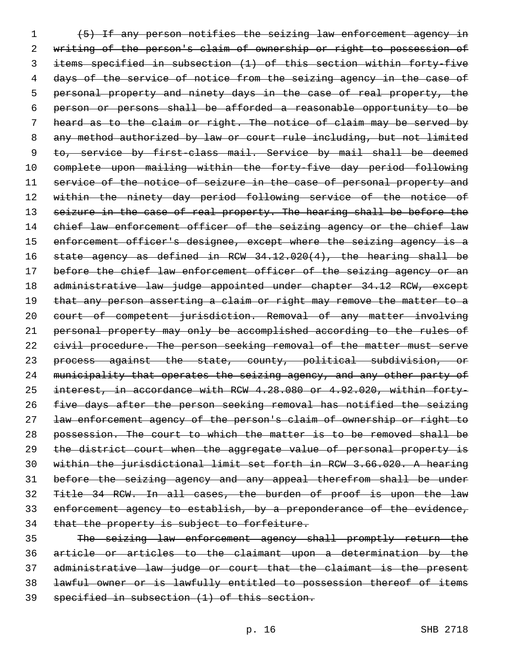(5) If any person notifies the seizing law enforcement agency in writing of the person's claim of ownership or right to possession of items specified in subsection (1) of this section within forty-five 4 days of the service of notice from the seizing agency in the case of 5 personal property and ninety days in the case of real property, the person or persons shall be afforded a reasonable opportunity to be heard as to the claim or right. The notice of claim may be served by any method authorized by law or court rule including, but not limited 9 to, service by first-class mail. Service by mail shall be deemed complete upon mailing within the forty-five day period following 11 service of the notice of seizure in the case of personal property and 12 within the ninety day period following service of the notice of 13 seizure in the case of real property. The hearing shall be before the 14 chief law enforcement officer of the seizing agency or the chief law 15 enforcement officer's designee, except where the seizing agency is a state agency as defined in RCW 34.12.020(4), the hearing shall be 17 before the chief law enforcement officer of the seizing agency or an administrative law judge appointed under chapter 34.12 RCW, except 19 that any person asserting a claim or right may remove the matter to a court of competent jurisdiction. Removal of any matter involving personal property may only be accomplished according to the rules of 22 eivil procedure. The person seeking removal of the matter must serve 23 process against the state, county, political subdivision, or 24 municipality that operates the seizing agency, and any other party of interest, in accordance with RCW 4.28.080 or 4.92.020, within forty- five days after the person seeking removal has notified the seizing law enforcement agency of the person's claim of ownership or right to possession. The court to which the matter is to be removed shall be the district court when the aggregate value of personal property is within the jurisdictional limit set forth in RCW 3.66.020. A hearing before the seizing agency and any appeal therefrom shall be under Title 34 RCW. In all cases, the burden of proof is upon the law enforcement agency to establish, by a preponderance of the evidence, 34 that the property is subject to forfeiture.

 The seizing law enforcement agency shall promptly return the article or articles to the claimant upon a determination by the administrative law judge or court that the claimant is the present lawful owner or is lawfully entitled to possession thereof of items specified in subsection (1) of this section.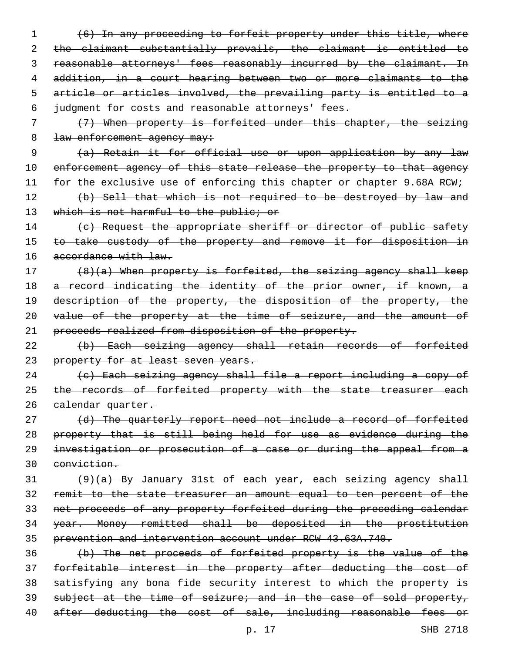(6) In any proceeding to forfeit property under this title, where the claimant substantially prevails, the claimant is entitled to 3 reasonable attorneys' fees reasonably incurred by the claimant. In 4 addition, in a court hearing between two or more claimants to the article or articles involved, the prevailing party is entitled to a judgment for costs and reasonable attorneys' fees.

7 (7) When property is forfeited under this chapter, the seizing 8 law enforcement agency may:

9 (a) Retain it for official use or upon application by any law 10 enforcement agency of this state release the property to that agency 11 for the exclusive use of enforcing this chapter or chapter 9.68A RCW;

12 (b) Sell that which is not required to be destroyed by law and 13 which is not harmful to the public; or

14 (c) Request the appropriate sheriff or director of public safety 15 to take custody of the property and remove it for disposition in 16 accordance with law.

17 (8)(a) When property is forfeited, the seizing agency shall keep 18 a record indicating the identity of the prior owner, if known, a 19 description of the property, the disposition of the property, the 20 value of the property at the time of seizure, and the amount of 21 proceeds realized from disposition of the property.

22 (b) Each seizing agency shall retain records of forfeited 23 property for at least seven years.

24 (c) Each seizing agency shall file a report including a copy of 25 the records of forfeited property with the state treasurer each 26 calendar quarter.

27 (d) The quarterly report need not include a record of forfeited property that is still being held for use as evidence during the investigation or prosecution of a case or during the appeal from a conviction.

 (9)(a) By January 31st of each year, each seizing agency shall remit to the state treasurer an amount equal to ten percent of the net proceeds of any property forfeited during the preceding calendar year. Money remitted shall be deposited in the prostitution prevention and intervention account under RCW 43.63A.740.

36 (b) The net proceeds of forfeited property is the value of the 37 forfeitable interest in the property after deducting the cost of 38 satisfying any bona fide security interest to which the property is 39 subject at the time of seizure; and in the case of sold property, 40 after deducting the cost of sale, including reasonable fees or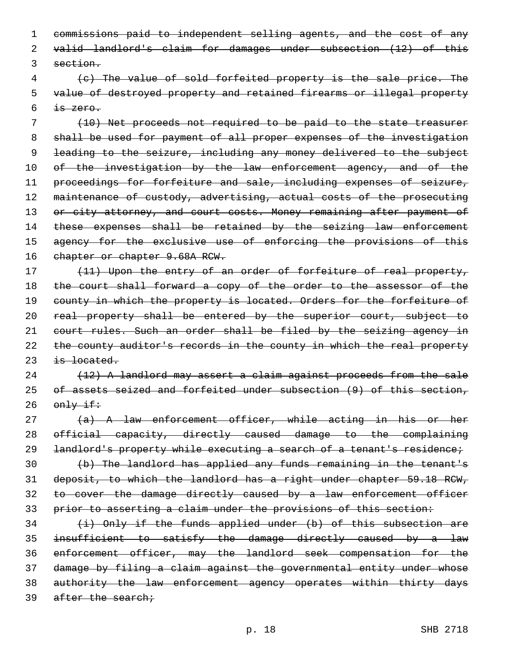1 commissions paid to independent selling agents, and the cost of any 2 valid landlord's claim for damages under subsection (12) of this 3 section.

4 (c) The value of sold forfeited property is the sale price. The 5 value of destroyed property and retained firearms or illegal property  $6$  is zero.

7 (10) Net proceeds not required to be paid to the state treasurer 8 shall be used for payment of all proper expenses of the investigation 9 leading to the seizure, including any money delivered to the subject 10 of the investigation by the law enforcement agency, and of the 11 proceedings for forfeiture and sale, including expenses of seizure, 12 maintenance of custody, advertising, actual costs of the prosecuting 13 or city attorney, and court costs. Money remaining after payment of 14 these expenses shall be retained by the seizing law enforcement 15 agency for the exclusive use of enforcing the provisions of this 16 chapter or chapter 9.68A RCW.

17 (11) Upon the entry of an order of forfeiture of real property, 18 the court shall forward a copy of the order to the assessor of the 19 county in which the property is located. Orders for the forfeiture of 20 real property shall be entered by the superior court, subject to 21 court rules. Such an order shall be filed by the seizing agency in 22 the county auditor's records in the county in which the real property  $23$  is located.

24 (12) A landlord may assert a claim against proceeds from the sale 25 of assets seized and forfeited under subsection (9) of this section, 26  $\theta$  only if:

27 (a) A law enforcement officer, while acting in his or her 28 official capacity, directly caused damage to the complaining 29 landlord's property while executing a search of a tenant's residence; 30 (b) The landlord has applied any funds remaining in the tenant's

31 deposit, to which the landlord has a right under chapter 59.18 RCW, 32 to cover the damage directly caused by a law enforcement officer 33 prior to asserting a claim under the provisions of this section:

  $(i)$  Only if the funds applied under (b) of this subsection are insufficient to satisfy the damage directly caused by a law enforcement officer, may the landlord seek compensation for the damage by filing a claim against the governmental entity under whose authority the law enforcement agency operates within thirty days 39 after the search;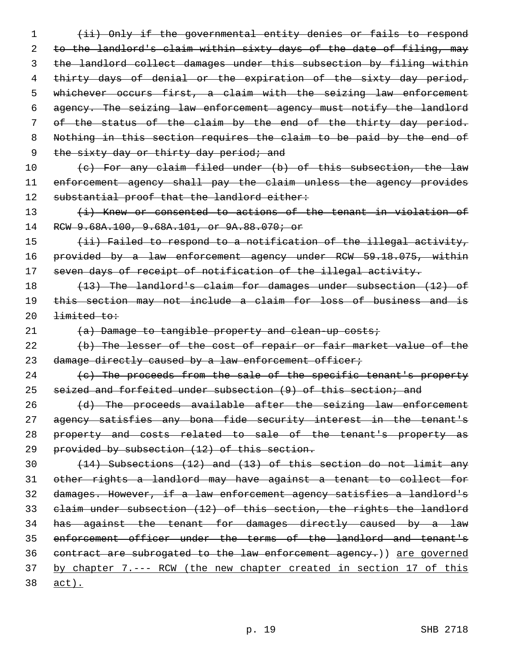1 (ii) Only if the governmental entity denies or fails to respond 2 to the landlord's claim within sixty days of the date of filing, may 3 the landlord collect damages under this subsection by filing within 4 thirty days of denial or the expiration of the sixty day period, 5 whichever occurs first, a claim with the seizing law enforcement 6 agency. The seizing law enforcement agency must notify the landlord 7 of the status of the claim by the end of the thirty day period. 8 Nothing in this section requires the claim to be paid by the end of 9 the sixty day or thirty day period; and 10 (c) For any claim filed under (b) of this subsection, the law 11 enforcement agency shall pay the claim unless the agency provides 12 substantial proof that the landlord either: 13 (i) Knew or consented to actions of the tenant in violation of 14 RCW 9.68A.100, 9.68A.101, or 9A.88.070; or 15 (ii) Failed to respond to a notification of the illegal activity, 16 provided by a law enforcement agency under RCW 59.18.075, within

17 seven days of receipt of notification of the illegal activity.

18 (13) The landlord's claim for damages under subsection (12) of 19 this section may not include a claim for loss of business and is  $20$   $limited to:$ 

21 (a) Damage to tangible property and clean-up costs;

22 (b) The lesser of the cost of repair or fair market value of the 23 damage directly caused by a law enforcement officer;

24 (c) The proceeds from the sale of the specific tenant's property 25 seized and forfeited under subsection (9) of this section; and

26 (d) The proceeds available after the seizing law enforcement 27 agency satisfies any bona fide security interest in the tenant's 28 property and costs related to sale of the tenant's property as 29 provided by subsection (12) of this section.

 (14) Subsections (12) and (13) of this section do not limit any other rights a landlord may have against a tenant to collect for damages. However, if a law enforcement agency satisfies a landlord's claim under subsection (12) of this section, the rights the landlord 34 has against the tenant for damages directly caused by a law enforcement officer under the terms of the landlord and tenant's 36 contract are subrogated to the law enforcement agency.) are governed by chapter 7.--- RCW (the new chapter created in section 17 of this 38 act).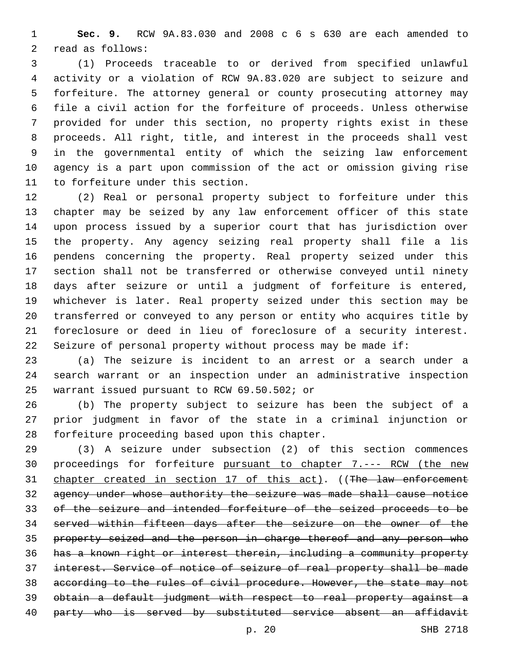**Sec. 9.** RCW 9A.83.030 and 2008 c 6 s 630 are each amended to 2 read as follows:

 (1) Proceeds traceable to or derived from specified unlawful activity or a violation of RCW 9A.83.020 are subject to seizure and forfeiture. The attorney general or county prosecuting attorney may file a civil action for the forfeiture of proceeds. Unless otherwise provided for under this section, no property rights exist in these proceeds. All right, title, and interest in the proceeds shall vest in the governmental entity of which the seizing law enforcement agency is a part upon commission of the act or omission giving rise 11 to forfeiture under this section.

 (2) Real or personal property subject to forfeiture under this chapter may be seized by any law enforcement officer of this state upon process issued by a superior court that has jurisdiction over the property. Any agency seizing real property shall file a lis pendens concerning the property. Real property seized under this section shall not be transferred or otherwise conveyed until ninety days after seizure or until a judgment of forfeiture is entered, whichever is later. Real property seized under this section may be transferred or conveyed to any person or entity who acquires title by foreclosure or deed in lieu of foreclosure of a security interest. Seizure of personal property without process may be made if:

 (a) The seizure is incident to an arrest or a search under a search warrant or an inspection under an administrative inspection 25 warrant issued pursuant to RCW 69.50.502; or

 (b) The property subject to seizure has been the subject of a prior judgment in favor of the state in a criminal injunction or 28 forfeiture proceeding based upon this chapter.

 (3) A seizure under subsection (2) of this section commences 30 proceedings for forfeiture pursuant to chapter 7.--- RCW (the new 31 chapter created in section 17 of this act). ((The law enforcement agency under whose authority the seizure was made shall cause notice of the seizure and intended forfeiture of the seized proceeds to be served within fifteen days after the seizure on the owner of the property seized and the person in charge thereof and any person who has a known right or interest therein, including a community property interest. Service of notice of seizure of real property shall be made according to the rules of civil procedure. However, the state may not obtain a default judgment with respect to real property against a 40 party who is served by substituted service absent an affidavit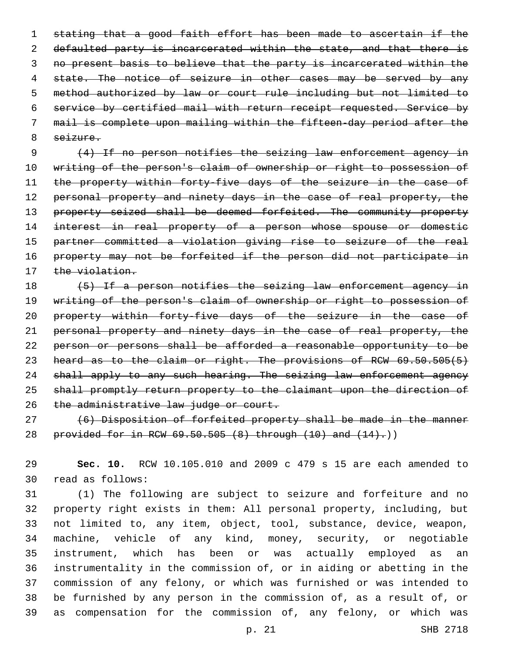stating that a good faith effort has been made to ascertain if the 2 defaulted party is incarcerated within the state, and that there is no present basis to believe that the party is incarcerated within the 4 state. The notice of seizure in other cases may be served by any method authorized by law or court rule including but not limited to service by certified mail with return receipt requested. Service by mail is complete upon mailing within the fifteen-day period after the 8 seizure.

9 (4) If no person notifies the seizing law enforcement agency in 10 writing of the person's claim of ownership or right to possession of 11 the property within forty-five days of the seizure in the case of 12 personal property and ninety days in the case of real property, the 13 property seized shall be deemed forfeited. The community property 14 interest in real property of a person whose spouse or domestic 15 partner committed a violation giving rise to seizure of the real 16 property may not be forfeited if the person did not participate in 17 the violation.

18 (5) If a person notifies the seizing law enforcement agency in 19 writing of the person's claim of ownership or right to possession of 20 property within forty-five days of the seizure in the case of 21 personal property and ninety days in the case of real property, the 22 person or persons shall be afforded a reasonable opportunity to be 23 heard as to the claim or right. The provisions of RCW 69.50.505(5) 24 shall apply to any such hearing. The seizing law enforcement agency 25 shall promptly return property to the claimant upon the direction of 26 the administrative law judge or court.

27 (6) Disposition of forfeited property shall be made in the manner 28 provided for in RCW 69.50.505 (8) through (10) and (14).))

29 **Sec. 10.** RCW 10.105.010 and 2009 c 479 s 15 are each amended to read as follows:30

 (1) The following are subject to seizure and forfeiture and no property right exists in them: All personal property, including, but not limited to, any item, object, tool, substance, device, weapon, machine, vehicle of any kind, money, security, or negotiable instrument, which has been or was actually employed as an instrumentality in the commission of, or in aiding or abetting in the commission of any felony, or which was furnished or was intended to be furnished by any person in the commission of, as a result of, or as compensation for the commission of, any felony, or which was

p. 21 SHB 2718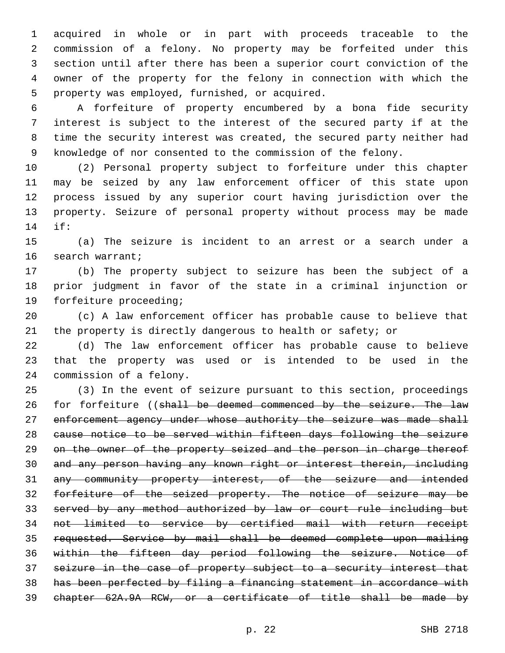acquired in whole or in part with proceeds traceable to the commission of a felony. No property may be forfeited under this section until after there has been a superior court conviction of the owner of the property for the felony in connection with which the 5 property was employed, furnished, or acquired.

 A forfeiture of property encumbered by a bona fide security interest is subject to the interest of the secured party if at the time the security interest was created, the secured party neither had knowledge of nor consented to the commission of the felony.

 (2) Personal property subject to forfeiture under this chapter may be seized by any law enforcement officer of this state upon process issued by any superior court having jurisdiction over the property. Seizure of personal property without process may be made if:14

 (a) The seizure is incident to an arrest or a search under a 16 search warrant;

 (b) The property subject to seizure has been the subject of a prior judgment in favor of the state in a criminal injunction or 19 forfeiture proceeding;

 (c) A law enforcement officer has probable cause to believe that the property is directly dangerous to health or safety; or

 (d) The law enforcement officer has probable cause to believe that the property was used or is intended to be used in the 24 commission of a felony.

 (3) In the event of seizure pursuant to this section, proceedings 26 for forfeiture ((shall be deemed commenced by the seizure. The law 27 enforcement agency under whose authority the seizure was made shall cause notice to be served within fifteen days following the seizure 29 on the owner of the property seized and the person in charge thereof and any person having any known right or interest therein, including any community property interest, of the seizure and intended forfeiture of the seized property. The notice of seizure may be served by any method authorized by law or court rule including but not limited to service by certified mail with return receipt requested. Service by mail shall be deemed complete upon mailing within the fifteen day period following the seizure. Notice of seizure in the case of property subject to a security interest that has been perfected by filing a financing statement in accordance with chapter 62A.9A RCW, or a certificate of title shall be made by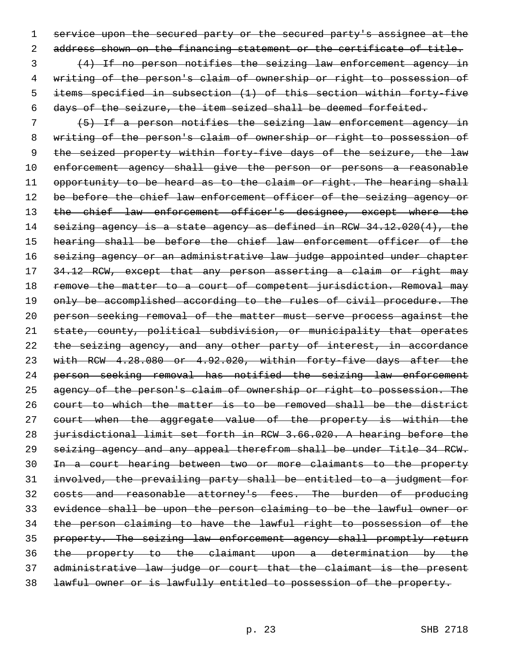service upon the secured party or the secured party's assignee at the address shown on the financing statement or the certificate of title.

 (4) If no person notifies the seizing law enforcement agency in writing of the person's claim of ownership or right to possession of items specified in subsection (1) of this section within forty-five days of the seizure, the item seized shall be deemed forfeited.

 (5) If a person notifies the seizing law enforcement agency in writing of the person's claim of ownership or right to possession of 9 the seized property within forty-five days of the seizure, the law 10 enforcement agency shall give the person or persons a reasonable 11 opportunity to be heard as to the claim or right. The hearing shall 12 be before the chief law enforcement officer of the seizing agency or 13 the chief law enforcement officer's designee, except where the seizing agency is a state agency as defined in RCW 34.12.020(4), the hearing shall be before the chief law enforcement officer of the seizing agency or an administrative law judge appointed under chapter 34.12 RCW, except that any person asserting a claim or right may 18 remove the matter to a court of competent jurisdiction. Removal may 19 only be accomplished according to the rules of civil procedure. The person seeking removal of the matter must serve process against the state, county, political subdivision, or municipality that operates the seizing agency, and any other party of interest, in accordance with RCW 4.28.080 or 4.92.020, within forty-five days after the person seeking removal has notified the seizing law enforcement 25 agency of the person's claim of ownership or right to possession. The court to which the matter is to be removed shall be the district 27 court when the aggregate value of the property is within the jurisdictional limit set forth in RCW 3.66.020. A hearing before the seizing agency and any appeal therefrom shall be under Title 34 RCW. In a court hearing between two or more claimants to the property involved, the prevailing party shall be entitled to a judgment for 32 costs and reasonable attorney's fees. The burden of producing evidence shall be upon the person claiming to be the lawful owner or the person claiming to have the lawful right to possession of the property. The seizing law enforcement agency shall promptly return the property to the claimant upon a determination by the administrative law judge or court that the claimant is the present lawful owner or is lawfully entitled to possession of the property.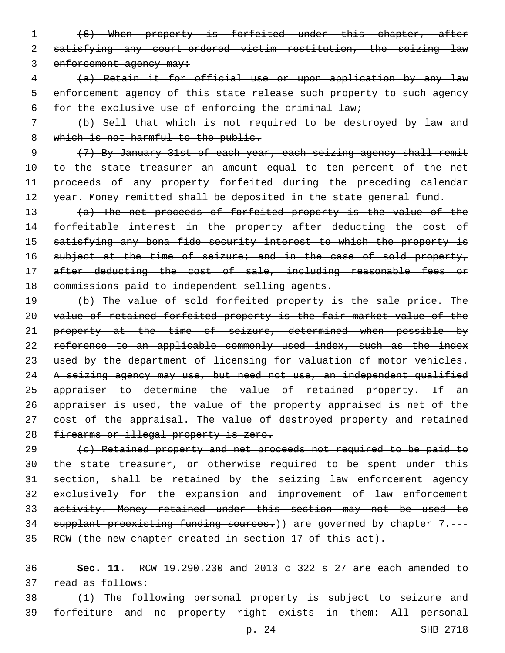- 1 (6) When property is forfeited under this chapter, after 2 satisfying any court-ordered victim restitution, the seizing law 3 enforcement agency may:
- 4 (a) Retain it for official use or upon application by any law 5 enforcement agency of this state release such property to such agency 6 for the exclusive use of enforcing the criminal law;
- 7 (b) Sell that which is not required to be destroyed by law and 8 which is not harmful to the public.

9 (7) By January 31st of each year, each seizing agency shall remit 10 to the state treasurer an amount equal to ten percent of the net 11 proceeds of any property forfeited during the preceding calendar 12 year. Money remitted shall be deposited in the state general fund.

13 (a) The net proceeds of forfeited property is the value of the 14 forfeitable interest in the property after deducting the cost of 15 satisfying any bona fide security interest to which the property is 16 subject at the time of seizure; and in the case of sold property, 17 after deducting the cost of sale, including reasonable fees or 18 commissions paid to independent selling agents.

19 (b) The value of sold forfeited property is the sale price. The 20 value of retained forfeited property is the fair market value of the 21 property at the time of seizure, determined when possible by 22 reference to an applicable commonly used index, such as the index 23 used by the department of licensing for valuation of motor vehicles. 24 A seizing agency may use, but need not use, an independent qualified 25 appraiser to determine the value of retained property. If an 26 appraiser is used, the value of the property appraised is net of the 27 cost of the appraisal. The value of destroyed property and retained 28 firearms or illegal property is zero.

 (c) Retained property and net proceeds not required to be paid to 30 the state treasurer, or otherwise required to be spent under this section, shall be retained by the seizing law enforcement agency exclusively for the expansion and improvement of law enforcement activity. Money retained under this section may not be used to 34 supplant preexisting funding sources.) are governed by chapter 7.---RCW (the new chapter created in section 17 of this act).

36 **Sec. 11.** RCW 19.290.230 and 2013 c 322 s 27 are each amended to 37 read as follows:

38 (1) The following personal property is subject to seizure and 39 forfeiture and no property right exists in them: All personal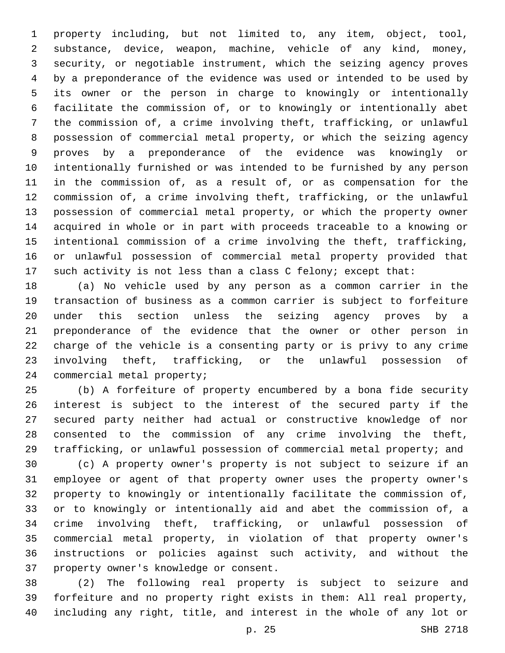property including, but not limited to, any item, object, tool, substance, device, weapon, machine, vehicle of any kind, money, security, or negotiable instrument, which the seizing agency proves by a preponderance of the evidence was used or intended to be used by its owner or the person in charge to knowingly or intentionally facilitate the commission of, or to knowingly or intentionally abet the commission of, a crime involving theft, trafficking, or unlawful possession of commercial metal property, or which the seizing agency proves by a preponderance of the evidence was knowingly or intentionally furnished or was intended to be furnished by any person in the commission of, as a result of, or as compensation for the commission of, a crime involving theft, trafficking, or the unlawful possession of commercial metal property, or which the property owner acquired in whole or in part with proceeds traceable to a knowing or intentional commission of a crime involving the theft, trafficking, or unlawful possession of commercial metal property provided that such activity is not less than a class C felony; except that:

 (a) No vehicle used by any person as a common carrier in the transaction of business as a common carrier is subject to forfeiture under this section unless the seizing agency proves by a preponderance of the evidence that the owner or other person in charge of the vehicle is a consenting party or is privy to any crime involving theft, trafficking, or the unlawful possession of 24 commercial metal property;

 (b) A forfeiture of property encumbered by a bona fide security interest is subject to the interest of the secured party if the secured party neither had actual or constructive knowledge of nor consented to the commission of any crime involving the theft, trafficking, or unlawful possession of commercial metal property; and

 (c) A property owner's property is not subject to seizure if an employee or agent of that property owner uses the property owner's property to knowingly or intentionally facilitate the commission of, or to knowingly or intentionally aid and abet the commission of, a crime involving theft, trafficking, or unlawful possession of commercial metal property, in violation of that property owner's instructions or policies against such activity, and without the 37 property owner's knowledge or consent.

 (2) The following real property is subject to seizure and forfeiture and no property right exists in them: All real property, including any right, title, and interest in the whole of any lot or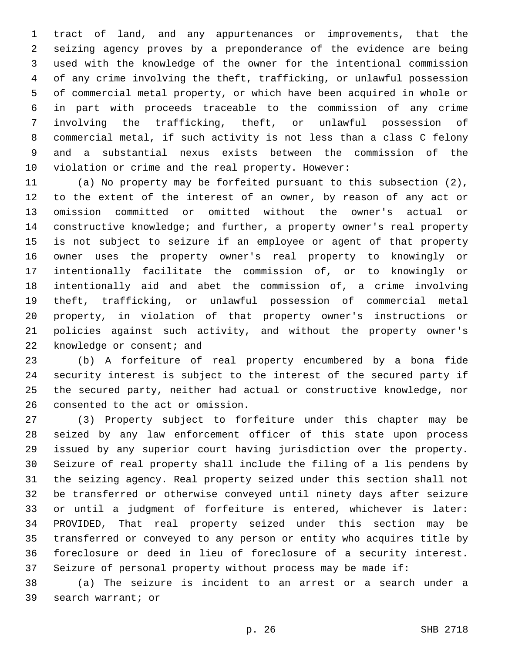tract of land, and any appurtenances or improvements, that the seizing agency proves by a preponderance of the evidence are being used with the knowledge of the owner for the intentional commission of any crime involving the theft, trafficking, or unlawful possession of commercial metal property, or which have been acquired in whole or in part with proceeds traceable to the commission of any crime involving the trafficking, theft, or unlawful possession of commercial metal, if such activity is not less than a class C felony and a substantial nexus exists between the commission of the violation or crime and the real property. However:

 (a) No property may be forfeited pursuant to this subsection (2), to the extent of the interest of an owner, by reason of any act or omission committed or omitted without the owner's actual or constructive knowledge; and further, a property owner's real property is not subject to seizure if an employee or agent of that property owner uses the property owner's real property to knowingly or intentionally facilitate the commission of, or to knowingly or intentionally aid and abet the commission of, a crime involving theft, trafficking, or unlawful possession of commercial metal property, in violation of that property owner's instructions or policies against such activity, and without the property owner's 22 knowledge or consent; and

 (b) A forfeiture of real property encumbered by a bona fide security interest is subject to the interest of the secured party if the secured party, neither had actual or constructive knowledge, nor 26 consented to the act or omission.

 (3) Property subject to forfeiture under this chapter may be seized by any law enforcement officer of this state upon process issued by any superior court having jurisdiction over the property. Seizure of real property shall include the filing of a lis pendens by the seizing agency. Real property seized under this section shall not be transferred or otherwise conveyed until ninety days after seizure or until a judgment of forfeiture is entered, whichever is later: PROVIDED, That real property seized under this section may be transferred or conveyed to any person or entity who acquires title by foreclosure or deed in lieu of foreclosure of a security interest. Seizure of personal property without process may be made if:

 (a) The seizure is incident to an arrest or a search under a 39 search warrant; or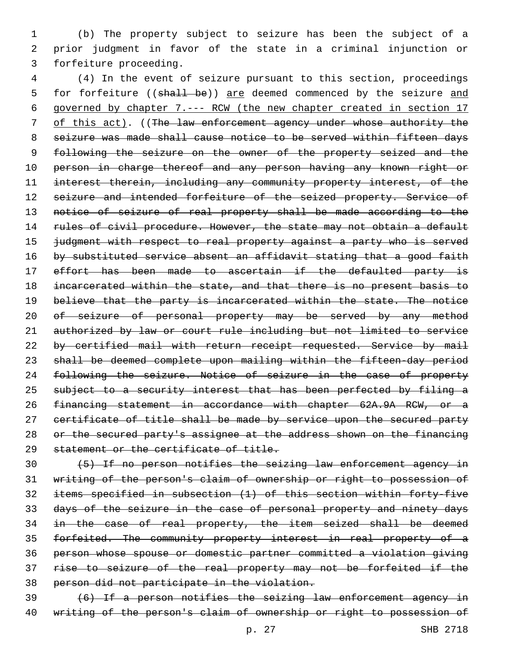1 (b) The property subject to seizure has been the subject of a 2 prior judgment in favor of the state in a criminal injunction or 3 forfeiture proceeding.

4 (4) In the event of seizure pursuant to this section, proceedings 5 for forfeiture ((shall be)) are deemed commenced by the seizure and 6 governed by chapter 7.--- RCW (the new chapter created in section 17 7 of this act). ((The law enforcement agency under whose authority the 8 seizure was made shall cause notice to be served within fifteen days 9 following the seizure on the owner of the property seized and the 10 person in charge thereof and any person having any known right or 11 interest therein, including any community property interest, of the 12 seizure and intended forfeiture of the seized property. Service of 13 notice of seizure of real property shall be made according to the 14 rules of civil procedure. However, the state may not obtain a default 15 judgment with respect to real property against a party who is served 16 by substituted service absent an affidavit stating that a good faith 17 effort has been made to ascertain if the defaulted party is 18 incarcerated within the state, and that there is no present basis to 19 believe that the party is incarcerated within the state. The notice 20 of seizure of personal property may be served by any method 21 authorized by law or court rule including but not limited to service 22 by certified mail with return receipt requested. Service by mail 23 shall be deemed complete upon mailing within the fifteen-day period 24 following the seizure. Notice of seizure in the case of property 25 subject to a security interest that has been perfected by filing a 26 financing statement in accordance with chapter 62A.9A RCW, or a 27 certificate of title shall be made by service upon the secured party 28 or the secured party's assignee at the address shown on the financing 29 statement or the certificate of title.

 (5) If no person notifies the seizing law enforcement agency in writing of the person's claim of ownership or right to possession of items specified in subsection (1) of this section within forty-five days of the seizure in the case of personal property and ninety days 34 in the case of real property, the item seized shall be deemed forfeited. The community property interest in real property of a person whose spouse or domestic partner committed a violation giving rise to seizure of the real property may not be forfeited if the person did not participate in the violation. (6) If a person notifies the seizing law enforcement agency in

40 writing of the person's claim of ownership or right to possession of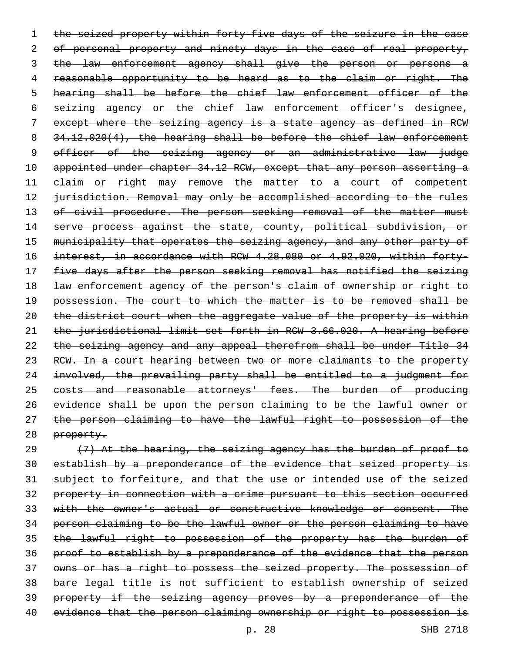1 the seized property within forty-five days of the seizure in the case 2 of personal property and ninety days in the case of real property, 3 the law enforcement agency shall give the person or persons a 4 reasonable opportunity to be heard as to the claim or right. The 5 hearing shall be before the chief law enforcement officer of the 6 seizing agency or the chief law enforcement officer's designee, 7 except where the seizing agency is a state agency as defined in RCW 8 34.12.020(4), the hearing shall be before the chief law enforcement 9 officer of the seizing agency or an administrative law judge 10 appointed under chapter 34.12 RCW, except that any person asserting a 11 elaim or right may remove the matter to a court of competent 12 jurisdiction. Removal may only be accomplished according to the rules 13 of civil procedure. The person seeking removal of the matter must 14 serve process against the state, county, political subdivision, or 15 municipality that operates the seizing agency, and any other party of 16 interest, in accordance with RCW 4.28.080 or 4.92.020, within forty-17 five days after the person seeking removal has notified the seizing 18 law enforcement agency of the person's claim of ownership or right to 19 possession. The court to which the matter is to be removed shall be 20 the district court when the aggregate value of the property is within 21 the jurisdictional limit set forth in RCW 3.66.020. A hearing before 22 the seizing agency and any appeal therefrom shall be under Title 34 23 RCW. In a court hearing between two or more claimants to the property 24 involved, the prevailing party shall be entitled to a judgment for 25 costs and reasonable attorneys' fees. The burden of producing 26 evidence shall be upon the person claiming to be the lawful owner or 27 the person claiming to have the lawful right to possession of the 28 property.

 $(7)$  At the hearing, the seizing agency has the burden of proof to establish by a preponderance of the evidence that seized property is subject to forfeiture, and that the use or intended use of the seized property in connection with a crime pursuant to this section occurred with the owner's actual or constructive knowledge or consent. The person claiming to be the lawful owner or the person claiming to have 35 the lawful right to possession of the property has the burden of proof to establish by a preponderance of the evidence that the person owns or has a right to possess the seized property. The possession of bare legal title is not sufficient to establish ownership of seized property if the seizing agency proves by a preponderance of the 40 evidence that the person claiming ownership or right to possession is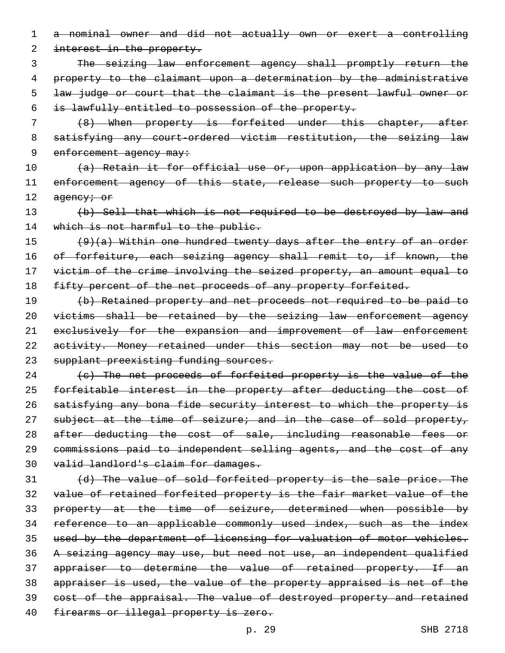1 a nominal owner and did not actually own or exert a controlling

2 interest in the property.

 The seizing law enforcement agency shall promptly return the property to the claimant upon a determination by the administrative law judge or court that the claimant is the present lawful owner or is lawfully entitled to possession of the property.

7 (8) When property is forfeited under this chapter, after 8 satisfying any court-ordered victim restitution, the seizing law 9 enforcement agency may:

10 (a) Retain it for official use or, upon application by any law 11 enforcement agency of this state, release such property to such 12 agency; or

13 (b) Sell that which is not required to be destroyed by law and 14 which is not harmful to the public.

15 (9)(a) Within one hundred twenty days after the entry of an order 16 of forfeiture, each seizing agency shall remit to, if known, the 17 victim of the crime involving the seized property, an amount equal to 18 fifty percent of the net proceeds of any property forfeited.

19 (b) Retained property and net proceeds not required to be paid to 20 victims shall be retained by the seizing law enforcement agency 21 exclusively for the expansion and improvement of law enforcement 22 activity. Money retained under this section may not be used to 23 supplant preexisting funding sources.

24 (c) The net proceeds of forfeited property is the value of the 25 forfeitable interest in the property after deducting the cost of 26 satisfying any bona fide security interest to which the property is 27 subject at the time of seizure; and in the case of sold property, 28 after deducting the cost of sale, including reasonable fees or 29 commissions paid to independent selling agents, and the cost of any 30 valid landlord's claim for damages.

31 (d) The value of sold forfeited property is the sale price. The 32 value of retained forfeited property is the fair market value of the 33 property at the time of seizure, determined when possible by 34 reference to an applicable commonly used index, such as the index 35 used by the department of licensing for valuation of motor vehicles. 36 A seizing agency may use, but need not use, an independent qualified 37 appraiser to determine the value of retained property. If an 38 appraiser is used, the value of the property appraised is net of the 39 cost of the appraisal. The value of destroyed property and retained 40 firearms or illegal property is zero.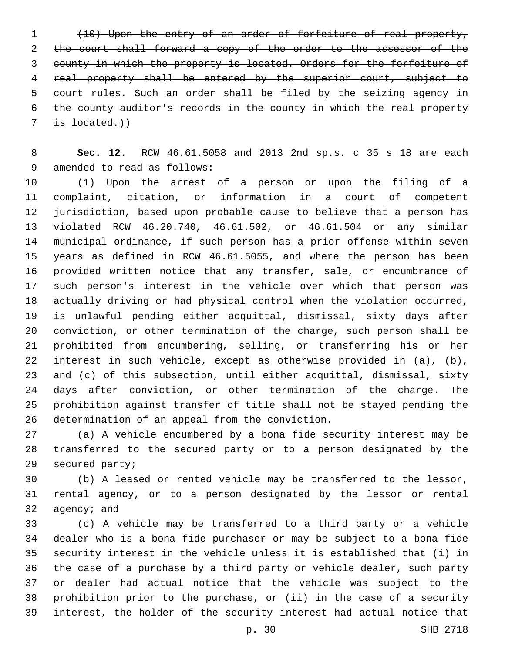(10) Upon the entry of an order of forfeiture of real property, the court shall forward a copy of the order to the assessor of the county in which the property is located. Orders for the forfeiture of real property shall be entered by the superior court, subject to court rules. Such an order shall be filed by the seizing agency in the county auditor's records in the county in which the real property  $7 \quad \text{is located.}$ )

 **Sec. 12.** RCW 46.61.5058 and 2013 2nd sp.s. c 35 s 18 are each 9 amended to read as follows:

 (1) Upon the arrest of a person or upon the filing of a complaint, citation, or information in a court of competent jurisdiction, based upon probable cause to believe that a person has violated RCW 46.20.740, 46.61.502, or 46.61.504 or any similar municipal ordinance, if such person has a prior offense within seven years as defined in RCW 46.61.5055, and where the person has been provided written notice that any transfer, sale, or encumbrance of such person's interest in the vehicle over which that person was actually driving or had physical control when the violation occurred, is unlawful pending either acquittal, dismissal, sixty days after conviction, or other termination of the charge, such person shall be prohibited from encumbering, selling, or transferring his or her interest in such vehicle, except as otherwise provided in (a), (b), and (c) of this subsection, until either acquittal, dismissal, sixty days after conviction, or other termination of the charge. The prohibition against transfer of title shall not be stayed pending the 26 determination of an appeal from the conviction.

 (a) A vehicle encumbered by a bona fide security interest may be transferred to the secured party or to a person designated by the 29 secured party;

 (b) A leased or rented vehicle may be transferred to the lessor, rental agency, or to a person designated by the lessor or rental agency; and

 (c) A vehicle may be transferred to a third party or a vehicle dealer who is a bona fide purchaser or may be subject to a bona fide security interest in the vehicle unless it is established that (i) in the case of a purchase by a third party or vehicle dealer, such party or dealer had actual notice that the vehicle was subject to the prohibition prior to the purchase, or (ii) in the case of a security interest, the holder of the security interest had actual notice that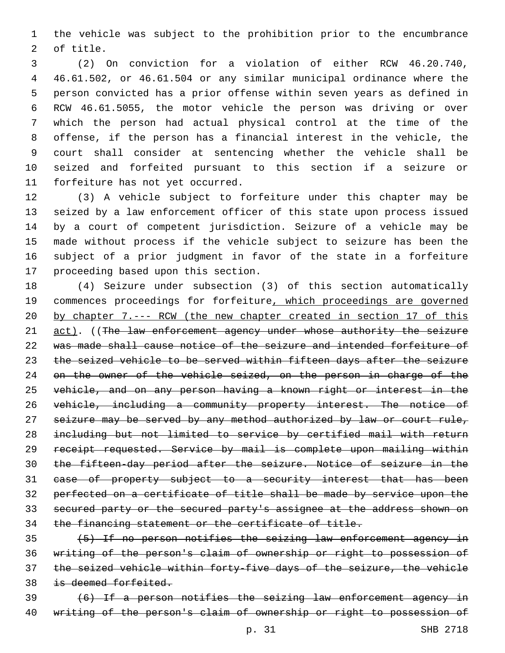the vehicle was subject to the prohibition prior to the encumbrance 2 of title.

 (2) On conviction for a violation of either RCW 46.20.740, 46.61.502, or 46.61.504 or any similar municipal ordinance where the person convicted has a prior offense within seven years as defined in RCW 46.61.5055, the motor vehicle the person was driving or over which the person had actual physical control at the time of the offense, if the person has a financial interest in the vehicle, the court shall consider at sentencing whether the vehicle shall be seized and forfeited pursuant to this section if a seizure or 11 forfeiture has not yet occurred.

 (3) A vehicle subject to forfeiture under this chapter may be seized by a law enforcement officer of this state upon process issued by a court of competent jurisdiction. Seizure of a vehicle may be made without process if the vehicle subject to seizure has been the subject of a prior judgment in favor of the state in a forfeiture 17 proceeding based upon this section.

 (4) Seizure under subsection (3) of this section automatically commences proceedings for forfeiture, which proceedings are governed by chapter 7.--- RCW (the new chapter created in section 17 of this 21 act). ((The law enforcement agency under whose authority the seizure was made shall cause notice of the seizure and intended forfeiture of the seized vehicle to be served within fifteen days after the seizure 24 on the owner of the vehicle seized, on the person in charge of the vehicle, and on any person having a known right or interest in the vehicle, including a community property interest. The notice of seizure may be served by any method authorized by law or court rule, including but not limited to service by certified mail with return receipt requested. Service by mail is complete upon mailing within the fifteen-day period after the seizure. Notice of seizure in the case of property subject to a security interest that has been perfected on a certificate of title shall be made by service upon the secured party or the secured party's assignee at the address shown on the financing statement or the certificate of title.

 (5) If no person notifies the seizing law enforcement agency in writing of the person's claim of ownership or right to possession of the seized vehicle within forty-five days of the seizure, the vehicle is deemed forfeited.

 (6) If a person notifies the seizing law enforcement agency in writing of the person's claim of ownership or right to possession of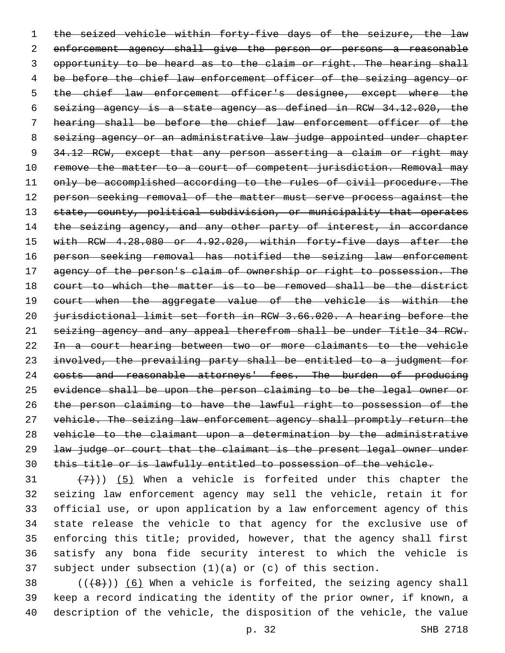1 the seized vehicle within forty-five days of the seizure, the law enforcement agency shall give the person or persons a reasonable 3 opportunity to be heard as to the claim or right. The hearing shall be before the chief law enforcement officer of the seizing agency or the chief law enforcement officer's designee, except where the seizing agency is a state agency as defined in RCW 34.12.020, the hearing shall be before the chief law enforcement officer of the seizing agency or an administrative law judge appointed under chapter 9 34.12 RCW, except that any person asserting a claim or right may 10 remove the matter to a court of competent jurisdiction. Removal may 11 only be accomplished according to the rules of civil procedure. The 12 person seeking removal of the matter must serve process against the 13 state, county, political subdivision, or municipality that operates 14 the seizing agency, and any other party of interest, in accordance with RCW 4.28.080 or 4.92.020, within forty-five days after the person seeking removal has notified the seizing law enforcement 17 agency of the person's claim of ownership or right to possession. The 18 court to which the matter is to be removed shall be the district 19 court when the aggregate value of the vehicle is within the jurisdictional limit set forth in RCW 3.66.020. A hearing before the seizing agency and any appeal therefrom shall be under Title 34 RCW. In a court hearing between two or more claimants to the vehicle involved, the prevailing party shall be entitled to a judgment for costs and reasonable attorneys' fees. The burden of producing evidence shall be upon the person claiming to be the legal owner or the person claiming to have the lawful right to possession of the vehicle. The seizing law enforcement agency shall promptly return the vehicle to the claimant upon a determination by the administrative law judge or court that the claimant is the present legal owner under this title or is lawfully entitled to possession of the vehicle.

 $(7)$ )) (5) When a vehicle is forfeited under this chapter the seizing law enforcement agency may sell the vehicle, retain it for official use, or upon application by a law enforcement agency of this state release the vehicle to that agency for the exclusive use of enforcing this title; provided, however, that the agency shall first satisfy any bona fide security interest to which the vehicle is subject under subsection (1)(a) or (c) of this section.

38  $((+8))$   $(6)$  When a vehicle is forfeited, the seizing agency shall keep a record indicating the identity of the prior owner, if known, a description of the vehicle, the disposition of the vehicle, the value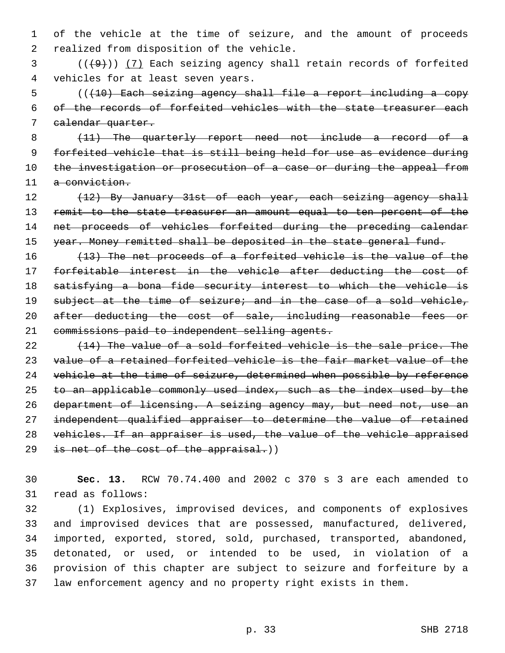1 of the vehicle at the time of seizure, and the amount of proceeds 2 realized from disposition of the vehicle.

 $3$  ( $(\frac{49}{1})$   $(7)$  Each seizing agency shall retain records of forfeited 4 vehicles for at least seven years.

5 (((10) Each seizing agency shall file a report including a copy 6 of the records of forfeited vehicles with the state treasurer each 7 calendar quarter.

8 (11) The quarterly report need not include a record of a 9 forfeited vehicle that is still being held for use as evidence during 10 the investigation or prosecution of a case or during the appeal from 11 a conviction.

12 (12) By January 31st of each year, each seizing agency shall 13 remit to the state treasurer an amount equal to ten percent of the 14 net proceeds of vehicles forfeited during the preceding calendar 15 year. Money remitted shall be deposited in the state general fund.

 (13) The net proceeds of a forfeited vehicle is the value of the forfeitable interest in the vehicle after deducting the cost of satisfying a bona fide security interest to which the vehicle is 19 subject at the time of seizure; and in the case of a sold vehicle, 20 after deducting the cost of sale, including reasonable fees or commissions paid to independent selling agents.

22 (14) The value of a sold forfeited vehicle is the sale price. The 23 value of a retained forfeited vehicle is the fair market value of the 24 vehicle at the time of seizure, determined when possible by reference 25 to an applicable commonly used index, such as the index used by the 26 department of licensing. A seizing agency may, but need not, use an 27 independent qualified appraiser to determine the value of retained 28 vehicles. If an appraiser is used, the value of the vehicle appraised 29 is net of the cost of the appraisal.)

30 **Sec. 13.** RCW 70.74.400 and 2002 c 370 s 3 are each amended to 31 read as follows:

 (1) Explosives, improvised devices, and components of explosives and improvised devices that are possessed, manufactured, delivered, imported, exported, stored, sold, purchased, transported, abandoned, detonated, or used, or intended to be used, in violation of a provision of this chapter are subject to seizure and forfeiture by a law enforcement agency and no property right exists in them.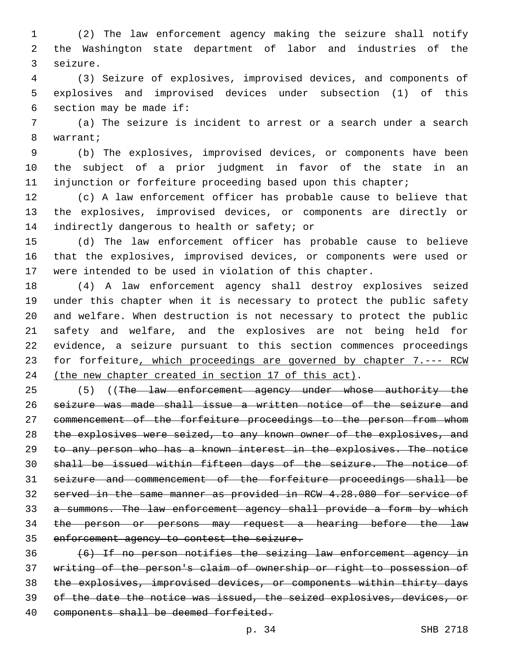(2) The law enforcement agency making the seizure shall notify the Washington state department of labor and industries of the 3 seizure.

 (3) Seizure of explosives, improvised devices, and components of explosives and improvised devices under subsection (1) of this 6 section may be made if:

 (a) The seizure is incident to arrest or a search under a search 8 warrant;

 (b) The explosives, improvised devices, or components have been the subject of a prior judgment in favor of the state in an injunction or forfeiture proceeding based upon this chapter;

 (c) A law enforcement officer has probable cause to believe that the explosives, improvised devices, or components are directly or 14 indirectly dangerous to health or safety; or

 (d) The law enforcement officer has probable cause to believe that the explosives, improvised devices, or components were used or were intended to be used in violation of this chapter.

 (4) A law enforcement agency shall destroy explosives seized under this chapter when it is necessary to protect the public safety and welfare. When destruction is not necessary to protect the public safety and welfare, and the explosives are not being held for evidence, a seizure pursuant to this section commences proceedings for forfeiture, which proceedings are governed by chapter 7.--- RCW 24 (the new chapter created in section 17 of this act).

25 (5) ((The law enforcement agency under whose authority the seizure was made shall issue a written notice of the seizure and commencement of the forfeiture proceedings to the person from whom 28 the explosives were seized, to any known owner of the explosives, and to any person who has a known interest in the explosives. The notice shall be issued within fifteen days of the seizure. The notice of seizure and commencement of the forfeiture proceedings shall be served in the same manner as provided in RCW 4.28.080 for service of a summons. The law enforcement agency shall provide a form by which the person or persons may request a hearing before the law enforcement agency to contest the seizure.

 (6) If no person notifies the seizing law enforcement agency in writing of the person's claim of ownership or right to possession of the explosives, improvised devices, or components within thirty days of the date the notice was issued, the seized explosives, devices, or 40 components shall be deemed forfeited.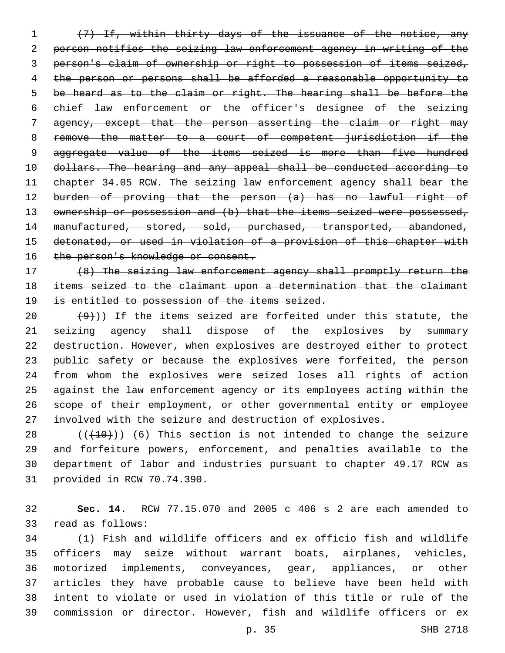(7) If, within thirty days of the issuance of the notice, any person notifies the seizing law enforcement agency in writing of the person's claim of ownership or right to possession of items seized, the person or persons shall be afforded a reasonable opportunity to be heard as to the claim or right. The hearing shall be before the chief law enforcement or the officer's designee of the seizing agency, except that the person asserting the claim or right may remove the matter to a court of competent jurisdiction if the 9 aggregate value of the items seized is more than five hundred dollars. The hearing and any appeal shall be conducted according to chapter 34.05 RCW. The seizing law enforcement agency shall bear the 12 burden of proving that the person (a) has no lawful right of 13 ownership or possession and (b) that the items seized were possessed, 14 manufactured, stored, sold, purchased, transported, abandoned, detonated, or used in violation of a provision of this chapter with 16 the person's knowledge or consent.

 (8) The seizing law enforcement agency shall promptly return the items seized to the claimant upon a determination that the claimant 19 is entitled to possession of the items seized.

 $(9)$ )) If the items seized are forfeited under this statute, the seizing agency shall dispose of the explosives by summary destruction. However, when explosives are destroyed either to protect public safety or because the explosives were forfeited, the person from whom the explosives were seized loses all rights of action against the law enforcement agency or its employees acting within the scope of their employment, or other governmental entity or employee involved with the seizure and destruction of explosives.

 (( $(10)$ )) (6) This section is not intended to change the seizure and forfeiture powers, enforcement, and penalties available to the department of labor and industries pursuant to chapter 49.17 RCW as 31 provided in RCW 70.74.390.

 **Sec. 14.** RCW 77.15.070 and 2005 c 406 s 2 are each amended to 33 read as follows:

 (1) Fish and wildlife officers and ex officio fish and wildlife officers may seize without warrant boats, airplanes, vehicles, motorized implements, conveyances, gear, appliances, or other articles they have probable cause to believe have been held with intent to violate or used in violation of this title or rule of the commission or director. However, fish and wildlife officers or ex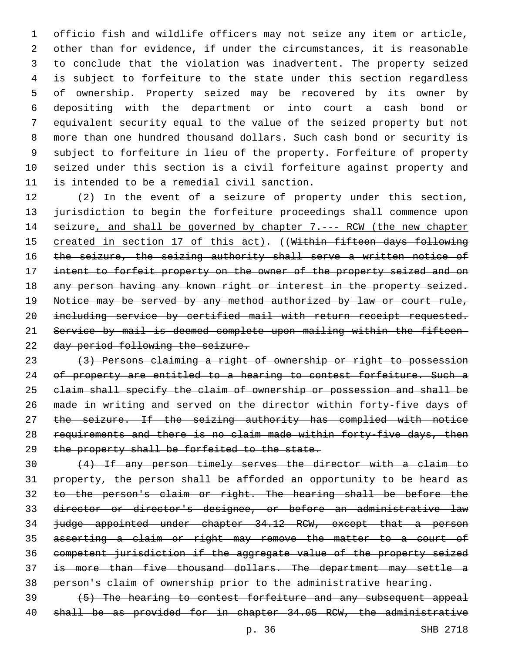officio fish and wildlife officers may not seize any item or article, other than for evidence, if under the circumstances, it is reasonable to conclude that the violation was inadvertent. The property seized is subject to forfeiture to the state under this section regardless of ownership. Property seized may be recovered by its owner by depositing with the department or into court a cash bond or equivalent security equal to the value of the seized property but not more than one hundred thousand dollars. Such cash bond or security is subject to forfeiture in lieu of the property. Forfeiture of property seized under this section is a civil forfeiture against property and 11 is intended to be a remedial civil sanction.

 (2) In the event of a seizure of property under this section, jurisdiction to begin the forfeiture proceedings shall commence upon 14 seizure, and shall be governed by chapter 7.--- RCW (the new chapter 15 created in section 17 of this act). ((Within fifteen days following 16 the seizure, the seizing authority shall serve a written notice of intent to forfeit property on the owner of the property seized and on 18 any person having any known right or interest in the property seized. Notice may be served by any method authorized by law or court rule, including service by certified mail with return receipt requested. Service by mail is deemed complete upon mailing within the fifteen-22 day period following the seizure.

 (3) Persons claiming a right of ownership or right to possession 24 of property are entitled to a hearing to contest forfeiture. Such a claim shall specify the claim of ownership or possession and shall be made in writing and served on the director within forty-five days of 27 the seizure. If the seizing authority has complied with notice requirements and there is no claim made within forty-five days, then 29 the property shall be forfeited to the state.

 (4) If any person timely serves the director with a claim to property, the person shall be afforded an opportunity to be heard as to the person's claim or right. The hearing shall be before the director or director's designee, or before an administrative law judge appointed under chapter 34.12 RCW, except that a person asserting a claim or right may remove the matter to a court of competent jurisdiction if the aggregate value of the property seized 37 is more than five thousand dollars. The department may settle a person's claim of ownership prior to the administrative hearing.

 (5) The hearing to contest forfeiture and any subsequent appeal shall be as provided for in chapter 34.05 RCW, the administrative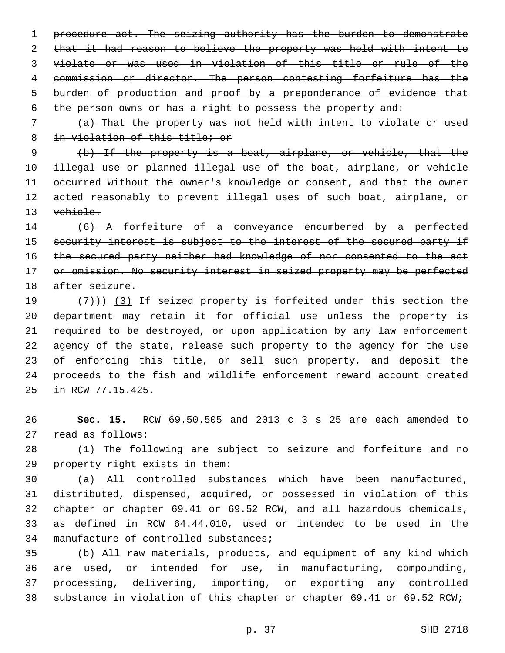1 procedure act. The seizing authority has the burden to demonstrate 2 that it had reason to believe the property was held with intent to violate or was used in violation of this title or rule of the commission or director. The person contesting forfeiture has the burden of production and proof by a preponderance of evidence that the person owns or has a right to possess the property and:

 (a) That the property was not held with intent to violate or used in violation of this title; or

 (b) If the property is a boat, airplane, or vehicle, that the illegal use or planned illegal use of the boat, airplane, or vehicle 11 occurred without the owner's knowledge or consent, and that the owner 12 acted reasonably to prevent illegal uses of such boat, airplane, or vehicle.

 (6) A forfeiture of a conveyance encumbered by a perfected 15 security interest is subject to the interest of the secured party if 16 the secured party neither had knowledge of nor consented to the act 17 or omission. No security interest in seized property may be perfected 18 after seizure.

 $(7)$ ) (3) If seized property is forfeited under this section the department may retain it for official use unless the property is required to be destroyed, or upon application by any law enforcement agency of the state, release such property to the agency for the use of enforcing this title, or sell such property, and deposit the proceeds to the fish and wildlife enforcement reward account created 25 in RCW 77.15.425.

 **Sec. 15.** RCW 69.50.505 and 2013 c 3 s 25 are each amended to 27 read as follows:

 (1) The following are subject to seizure and forfeiture and no 29 property right exists in them:

 (a) All controlled substances which have been manufactured, distributed, dispensed, acquired, or possessed in violation of this chapter or chapter 69.41 or 69.52 RCW, and all hazardous chemicals, as defined in RCW 64.44.010, used or intended to be used in the 34 manufacture of controlled substances;

 (b) All raw materials, products, and equipment of any kind which are used, or intended for use, in manufacturing, compounding, processing, delivering, importing, or exporting any controlled substance in violation of this chapter or chapter 69.41 or 69.52 RCW;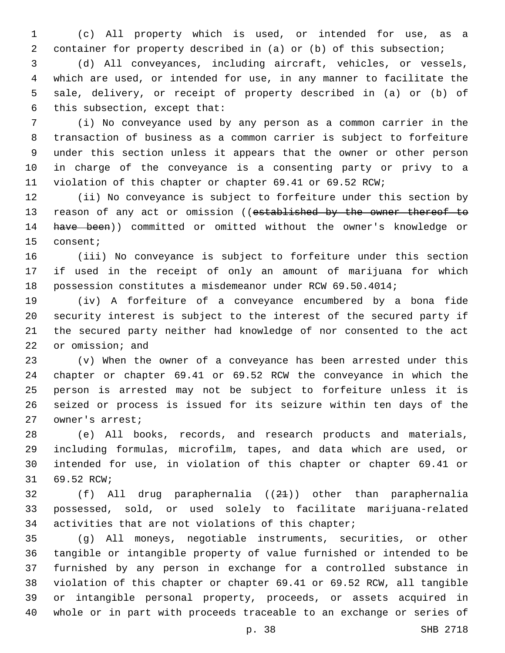(c) All property which is used, or intended for use, as a container for property described in (a) or (b) of this subsection;

 (d) All conveyances, including aircraft, vehicles, or vessels, which are used, or intended for use, in any manner to facilitate the sale, delivery, or receipt of property described in (a) or (b) of 6 this subsection, except that:

 (i) No conveyance used by any person as a common carrier in the transaction of business as a common carrier is subject to forfeiture under this section unless it appears that the owner or other person in charge of the conveyance is a consenting party or privy to a violation of this chapter or chapter 69.41 or 69.52 RCW;

 (ii) No conveyance is subject to forfeiture under this section by 13 reason of any act or omission ((established by the owner thereof to have been)) committed or omitted without the owner's knowledge or 15 consent;

 (iii) No conveyance is subject to forfeiture under this section if used in the receipt of only an amount of marijuana for which possession constitutes a misdemeanor under RCW 69.50.4014;

 (iv) A forfeiture of a conveyance encumbered by a bona fide security interest is subject to the interest of the secured party if the secured party neither had knowledge of nor consented to the act 22 or omission; and

 (v) When the owner of a conveyance has been arrested under this chapter or chapter 69.41 or 69.52 RCW the conveyance in which the person is arrested may not be subject to forfeiture unless it is seized or process is issued for its seizure within ten days of the 27 owner's arrest;

 (e) All books, records, and research products and materials, including formulas, microfilm, tapes, and data which are used, or intended for use, in violation of this chapter or chapter 69.41 or 31 69.52 RCW;

 (f) All drug paraphernalia ((21)) other than paraphernalia possessed, sold, or used solely to facilitate marijuana-related activities that are not violations of this chapter;

 (g) All moneys, negotiable instruments, securities, or other tangible or intangible property of value furnished or intended to be furnished by any person in exchange for a controlled substance in violation of this chapter or chapter 69.41 or 69.52 RCW, all tangible or intangible personal property, proceeds, or assets acquired in whole or in part with proceeds traceable to an exchange or series of

p. 38 SHB 2718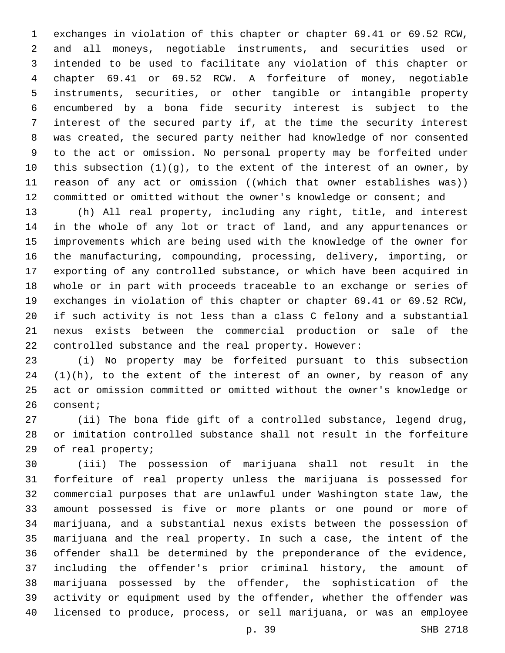exchanges in violation of this chapter or chapter 69.41 or 69.52 RCW, and all moneys, negotiable instruments, and securities used or intended to be used to facilitate any violation of this chapter or chapter 69.41 or 69.52 RCW. A forfeiture of money, negotiable instruments, securities, or other tangible or intangible property encumbered by a bona fide security interest is subject to the interest of the secured party if, at the time the security interest was created, the secured party neither had knowledge of nor consented to the act or omission. No personal property may be forfeited under this subsection (1)(g), to the extent of the interest of an owner, by 11 reason of any act or omission ((which that owner establishes was)) 12 committed or omitted without the owner's knowledge or consent; and

 (h) All real property, including any right, title, and interest in the whole of any lot or tract of land, and any appurtenances or improvements which are being used with the knowledge of the owner for the manufacturing, compounding, processing, delivery, importing, or exporting of any controlled substance, or which have been acquired in whole or in part with proceeds traceable to an exchange or series of exchanges in violation of this chapter or chapter 69.41 or 69.52 RCW, if such activity is not less than a class C felony and a substantial nexus exists between the commercial production or sale of the controlled substance and the real property. However:

 (i) No property may be forfeited pursuant to this subsection (1)(h), to the extent of the interest of an owner, by reason of any act or omission committed or omitted without the owner's knowledge or 26 consent;

 (ii) The bona fide gift of a controlled substance, legend drug, or imitation controlled substance shall not result in the forfeiture 29 of real property;

 (iii) The possession of marijuana shall not result in the forfeiture of real property unless the marijuana is possessed for commercial purposes that are unlawful under Washington state law, the amount possessed is five or more plants or one pound or more of marijuana, and a substantial nexus exists between the possession of marijuana and the real property. In such a case, the intent of the offender shall be determined by the preponderance of the evidence, including the offender's prior criminal history, the amount of marijuana possessed by the offender, the sophistication of the activity or equipment used by the offender, whether the offender was licensed to produce, process, or sell marijuana, or was an employee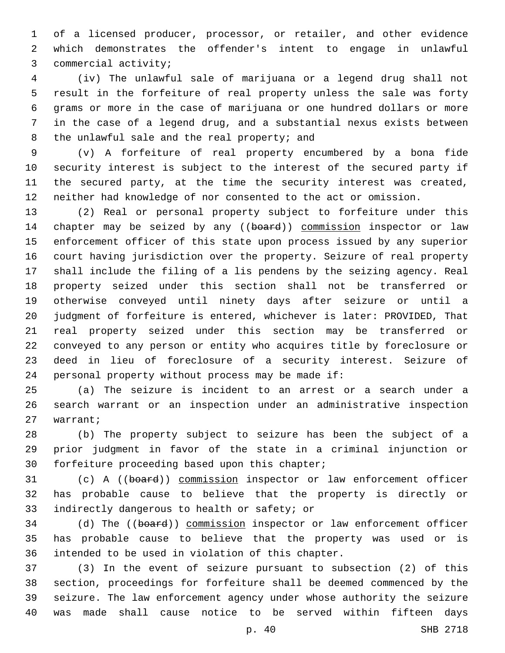of a licensed producer, processor, or retailer, and other evidence which demonstrates the offender's intent to engage in unlawful 3 commercial activity;

 (iv) The unlawful sale of marijuana or a legend drug shall not result in the forfeiture of real property unless the sale was forty grams or more in the case of marijuana or one hundred dollars or more in the case of a legend drug, and a substantial nexus exists between 8 the unlawful sale and the real property; and

 (v) A forfeiture of real property encumbered by a bona fide security interest is subject to the interest of the secured party if the secured party, at the time the security interest was created, neither had knowledge of nor consented to the act or omission.

 (2) Real or personal property subject to forfeiture under this 14 chapter may be seized by any ((board)) commission inspector or law enforcement officer of this state upon process issued by any superior court having jurisdiction over the property. Seizure of real property shall include the filing of a lis pendens by the seizing agency. Real property seized under this section shall not be transferred or otherwise conveyed until ninety days after seizure or until a judgment of forfeiture is entered, whichever is later: PROVIDED, That real property seized under this section may be transferred or conveyed to any person or entity who acquires title by foreclosure or deed in lieu of foreclosure of a security interest. Seizure of 24 personal property without process may be made if:

 (a) The seizure is incident to an arrest or a search under a search warrant or an inspection under an administrative inspection 27 warrant;

 (b) The property subject to seizure has been the subject of a prior judgment in favor of the state in a criminal injunction or 30 forfeiture proceeding based upon this chapter;

 (c) A ((board)) commission inspector or law enforcement officer has probable cause to believe that the property is directly or 33 indirectly dangerous to health or safety; or

34 (d) The ((board)) commission inspector or law enforcement officer has probable cause to believe that the property was used or is 36 intended to be used in violation of this chapter.

 (3) In the event of seizure pursuant to subsection (2) of this section, proceedings for forfeiture shall be deemed commenced by the seizure. The law enforcement agency under whose authority the seizure was made shall cause notice to be served within fifteen days

p. 40 SHB 2718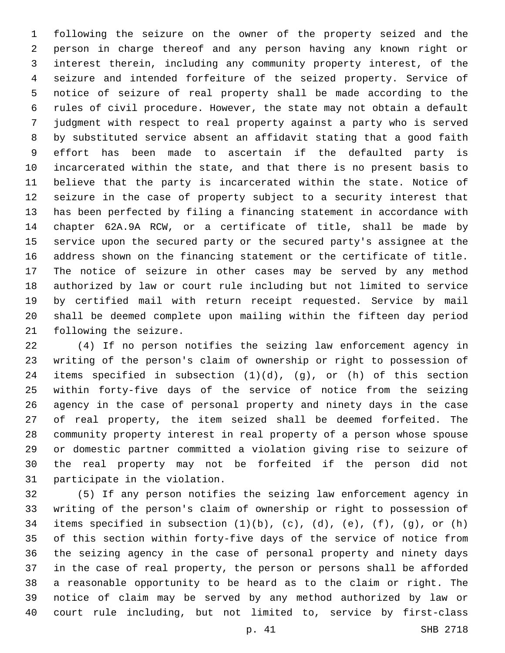following the seizure on the owner of the property seized and the person in charge thereof and any person having any known right or interest therein, including any community property interest, of the seizure and intended forfeiture of the seized property. Service of notice of seizure of real property shall be made according to the rules of civil procedure. However, the state may not obtain a default judgment with respect to real property against a party who is served by substituted service absent an affidavit stating that a good faith effort has been made to ascertain if the defaulted party is incarcerated within the state, and that there is no present basis to believe that the party is incarcerated within the state. Notice of seizure in the case of property subject to a security interest that has been perfected by filing a financing statement in accordance with chapter 62A.9A RCW, or a certificate of title, shall be made by service upon the secured party or the secured party's assignee at the address shown on the financing statement or the certificate of title. The notice of seizure in other cases may be served by any method authorized by law or court rule including but not limited to service by certified mail with return receipt requested. Service by mail shall be deemed complete upon mailing within the fifteen day period 21 following the seizure.

 (4) If no person notifies the seizing law enforcement agency in writing of the person's claim of ownership or right to possession of 24 items specified in subsection  $(1)(d)$ ,  $(g)$ , or  $(h)$  of this section within forty-five days of the service of notice from the seizing agency in the case of personal property and ninety days in the case of real property, the item seized shall be deemed forfeited. The community property interest in real property of a person whose spouse or domestic partner committed a violation giving rise to seizure of the real property may not be forfeited if the person did not 31 participate in the violation.

 (5) If any person notifies the seizing law enforcement agency in writing of the person's claim of ownership or right to possession of 34 items specified in subsection  $(1)(b)$ ,  $(c)$ ,  $(d)$ ,  $(e)$ ,  $(f)$ ,  $(g)$ , or  $(h)$  of this section within forty-five days of the service of notice from the seizing agency in the case of personal property and ninety days in the case of real property, the person or persons shall be afforded a reasonable opportunity to be heard as to the claim or right. The notice of claim may be served by any method authorized by law or court rule including, but not limited to, service by first-class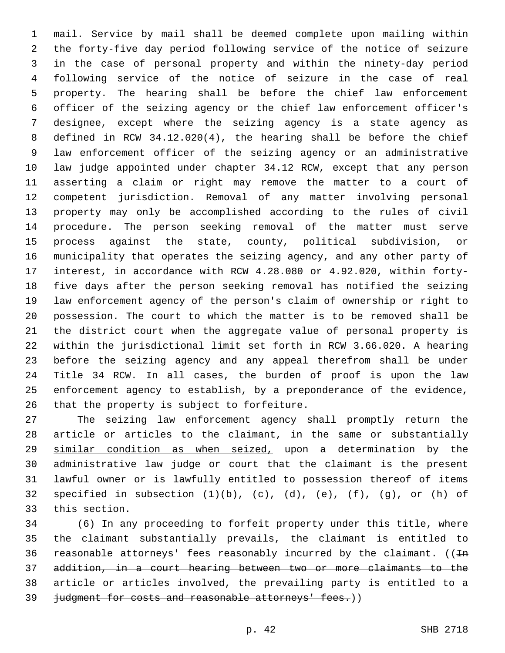mail. Service by mail shall be deemed complete upon mailing within the forty-five day period following service of the notice of seizure in the case of personal property and within the ninety-day period following service of the notice of seizure in the case of real property. The hearing shall be before the chief law enforcement officer of the seizing agency or the chief law enforcement officer's designee, except where the seizing agency is a state agency as defined in RCW 34.12.020(4), the hearing shall be before the chief law enforcement officer of the seizing agency or an administrative law judge appointed under chapter 34.12 RCW, except that any person asserting a claim or right may remove the matter to a court of competent jurisdiction. Removal of any matter involving personal property may only be accomplished according to the rules of civil procedure. The person seeking removal of the matter must serve process against the state, county, political subdivision, or municipality that operates the seizing agency, and any other party of interest, in accordance with RCW 4.28.080 or 4.92.020, within forty- five days after the person seeking removal has notified the seizing law enforcement agency of the person's claim of ownership or right to possession. The court to which the matter is to be removed shall be the district court when the aggregate value of personal property is within the jurisdictional limit set forth in RCW 3.66.020. A hearing before the seizing agency and any appeal therefrom shall be under Title 34 RCW. In all cases, the burden of proof is upon the law enforcement agency to establish, by a preponderance of the evidence, 26 that the property is subject to forfeiture.

 The seizing law enforcement agency shall promptly return the 28 article or articles to the claimant, in the same or substantially similar condition as when seized, upon a determination by the administrative law judge or court that the claimant is the present lawful owner or is lawfully entitled to possession thereof of items 32 specified in subsection  $(1)(b)$ ,  $(c)$ ,  $(d)$ ,  $(e)$ ,  $(f)$ ,  $(g)$ , or  $(h)$  of 33 this section.

 (6) In any proceeding to forfeit property under this title, where the claimant substantially prevails, the claimant is entitled to 36 reasonable attorneys' fees reasonably incurred by the claimant.  $((\text{In}$  addition, in a court hearing between two or more claimants to the article or articles involved, the prevailing party is entitled to a 39 judgment for costs and reasonable attorneys' fees.))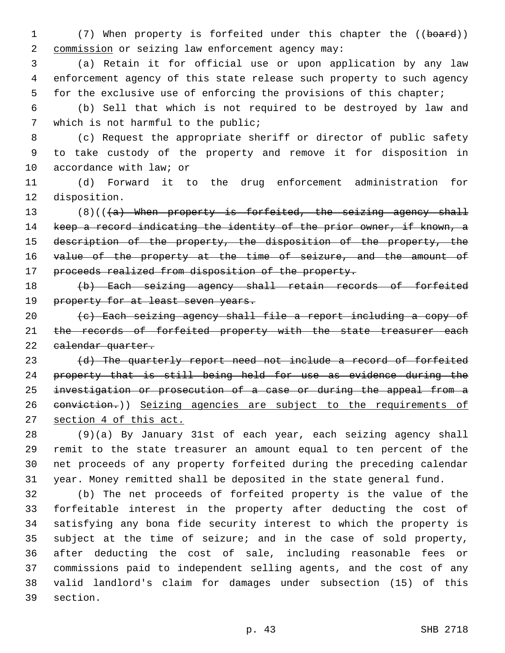1 (7) When property is forfeited under this chapter the ((board)) 2 commission or seizing law enforcement agency may:

3 (a) Retain it for official use or upon application by any law 4 enforcement agency of this state release such property to such agency 5 for the exclusive use of enforcing the provisions of this chapter;

6 (b) Sell that which is not required to be destroyed by law and 7 which is not harmful to the public;

8 (c) Request the appropriate sheriff or director of public safety 9 to take custody of the property and remove it for disposition in 10 accordance with law; or

11 (d) Forward it to the drug enforcement administration for 12 disposition.

13  $(8)((4)$  When property is forfeited, the seizing agency shall 14 keep a record indicating the identity of the prior owner, if known, a 15 description of the property, the disposition of the property, the 16 value of the property at the time of seizure, and the amount of 17 proceeds realized from disposition of the property.

18 (b) Each seizing agency shall retain records of forfeited 19 property for at least seven years.

20 (c) Each seizing agency shall file a report including a copy of 21 the records of forfeited property with the state treasurer each 22 ealendar quarter.

23 (d) The quarterly report need not include a record of forfeited 24 property that is still being held for use as evidence during the 25 investigation or prosecution of a case or during the appeal from a 26 eonviction.)) Seizing agencies are subject to the requirements of 27 section 4 of this act.

 (9)(a) By January 31st of each year, each seizing agency shall remit to the state treasurer an amount equal to ten percent of the net proceeds of any property forfeited during the preceding calendar year. Money remitted shall be deposited in the state general fund.

 (b) The net proceeds of forfeited property is the value of the forfeitable interest in the property after deducting the cost of satisfying any bona fide security interest to which the property is subject at the time of seizure; and in the case of sold property, after deducting the cost of sale, including reasonable fees or commissions paid to independent selling agents, and the cost of any valid landlord's claim for damages under subsection (15) of this 39 section.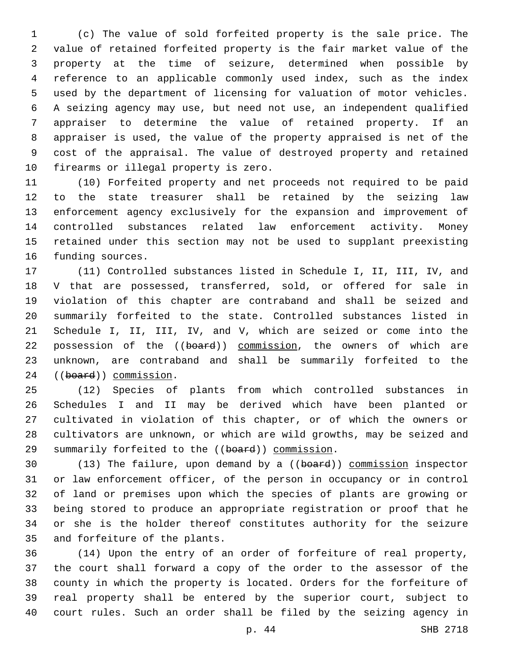(c) The value of sold forfeited property is the sale price. The value of retained forfeited property is the fair market value of the property at the time of seizure, determined when possible by reference to an applicable commonly used index, such as the index used by the department of licensing for valuation of motor vehicles. A seizing agency may use, but need not use, an independent qualified appraiser to determine the value of retained property. If an appraiser is used, the value of the property appraised is net of the cost of the appraisal. The value of destroyed property and retained 10 firearms or illegal property is zero.

 (10) Forfeited property and net proceeds not required to be paid to the state treasurer shall be retained by the seizing law enforcement agency exclusively for the expansion and improvement of controlled substances related law enforcement activity. Money retained under this section may not be used to supplant preexisting 16 funding sources.

 (11) Controlled substances listed in Schedule I, II, III, IV, and V that are possessed, transferred, sold, or offered for sale in violation of this chapter are contraband and shall be seized and summarily forfeited to the state. Controlled substances listed in Schedule I, II, III, IV, and V, which are seized or come into the 22 possession of the ((board)) commission, the owners of which are unknown, are contraband and shall be summarily forfeited to the 24 ((board)) commission.

 (12) Species of plants from which controlled substances in Schedules I and II may be derived which have been planted or cultivated in violation of this chapter, or of which the owners or cultivators are unknown, or which are wild growths, may be seized and 29 summarily forfeited to the ((board)) commission.

30 (13) The failure, upon demand by a ((board)) commission inspector or law enforcement officer, of the person in occupancy or in control of land or premises upon which the species of plants are growing or being stored to produce an appropriate registration or proof that he or she is the holder thereof constitutes authority for the seizure 35 and forfeiture of the plants.

 (14) Upon the entry of an order of forfeiture of real property, the court shall forward a copy of the order to the assessor of the county in which the property is located. Orders for the forfeiture of real property shall be entered by the superior court, subject to court rules. Such an order shall be filed by the seizing agency in

p. 44 SHB 2718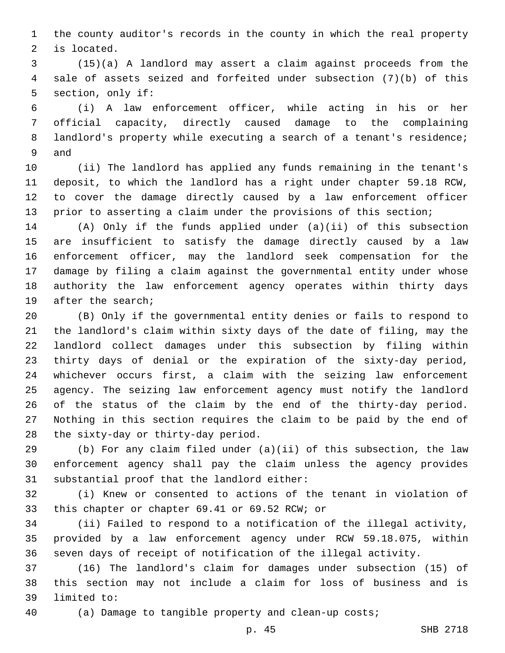the county auditor's records in the county in which the real property 2 is located.

 (15)(a) A landlord may assert a claim against proceeds from the sale of assets seized and forfeited under subsection (7)(b) of this 5 section, only if:

 (i) A law enforcement officer, while acting in his or her official capacity, directly caused damage to the complaining landlord's property while executing a search of a tenant's residence; 9 and

 (ii) The landlord has applied any funds remaining in the tenant's deposit, to which the landlord has a right under chapter 59.18 RCW, to cover the damage directly caused by a law enforcement officer prior to asserting a claim under the provisions of this section;

 (A) Only if the funds applied under (a)(ii) of this subsection are insufficient to satisfy the damage directly caused by a law enforcement officer, may the landlord seek compensation for the damage by filing a claim against the governmental entity under whose authority the law enforcement agency operates within thirty days 19 after the search;

 (B) Only if the governmental entity denies or fails to respond to the landlord's claim within sixty days of the date of filing, may the landlord collect damages under this subsection by filing within thirty days of denial or the expiration of the sixty-day period, whichever occurs first, a claim with the seizing law enforcement agency. The seizing law enforcement agency must notify the landlord of the status of the claim by the end of the thirty-day period. Nothing in this section requires the claim to be paid by the end of 28 the sixty-day or thirty-day period.

 (b) For any claim filed under (a)(ii) of this subsection, the law enforcement agency shall pay the claim unless the agency provides 31 substantial proof that the landlord either:

 (i) Knew or consented to actions of the tenant in violation of 33 this chapter or chapter 69.41 or 69.52 RCW; or

 (ii) Failed to respond to a notification of the illegal activity, provided by a law enforcement agency under RCW 59.18.075, within seven days of receipt of notification of the illegal activity.

 (16) The landlord's claim for damages under subsection (15) of this section may not include a claim for loss of business and is 39 limited to:

(a) Damage to tangible property and clean-up costs;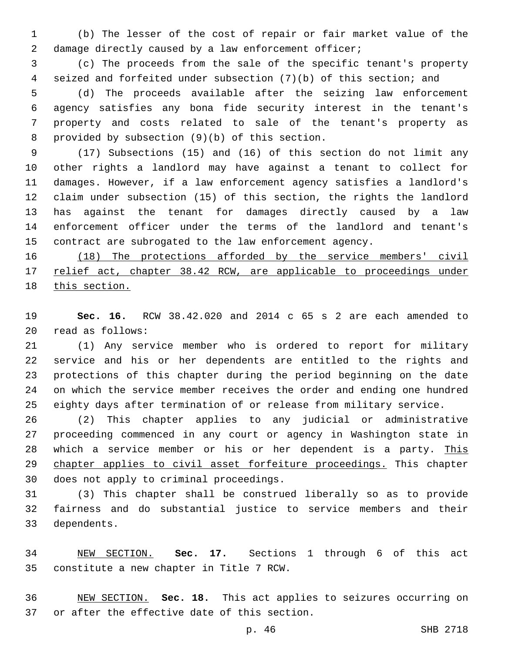(b) The lesser of the cost of repair or fair market value of the 2 damage directly caused by a law enforcement officer;

 (c) The proceeds from the sale of the specific tenant's property seized and forfeited under subsection (7)(b) of this section; and

 (d) The proceeds available after the seizing law enforcement agency satisfies any bona fide security interest in the tenant's property and costs related to sale of the tenant's property as 8 provided by subsection  $(9)(b)$  of this section.

 (17) Subsections (15) and (16) of this section do not limit any other rights a landlord may have against a tenant to collect for damages. However, if a law enforcement agency satisfies a landlord's claim under subsection (15) of this section, the rights the landlord has against the tenant for damages directly caused by a law enforcement officer under the terms of the landlord and tenant's contract are subrogated to the law enforcement agency.

16 (18) The protections afforded by the service members' civil 17 relief act, chapter 38.42 RCW, are applicable to proceedings under this section.

 **Sec. 16.** RCW 38.42.020 and 2014 c 65 s 2 are each amended to read as follows:20

 (1) Any service member who is ordered to report for military service and his or her dependents are entitled to the rights and protections of this chapter during the period beginning on the date on which the service member receives the order and ending one hundred eighty days after termination of or release from military service.

 (2) This chapter applies to any judicial or administrative proceeding commenced in any court or agency in Washington state in which a service member or his or her dependent is a party. This 29 chapter applies to civil asset forfeiture proceedings. This chapter 30 does not apply to criminal proceedings.

 (3) This chapter shall be construed liberally so as to provide fairness and do substantial justice to service members and their 33 dependents.

 NEW SECTION. **Sec. 17.** Sections 1 through 6 of this act constitute a new chapter in Title 7 RCW.

 NEW SECTION. **Sec. 18.** This act applies to seizures occurring on or after the effective date of this section.